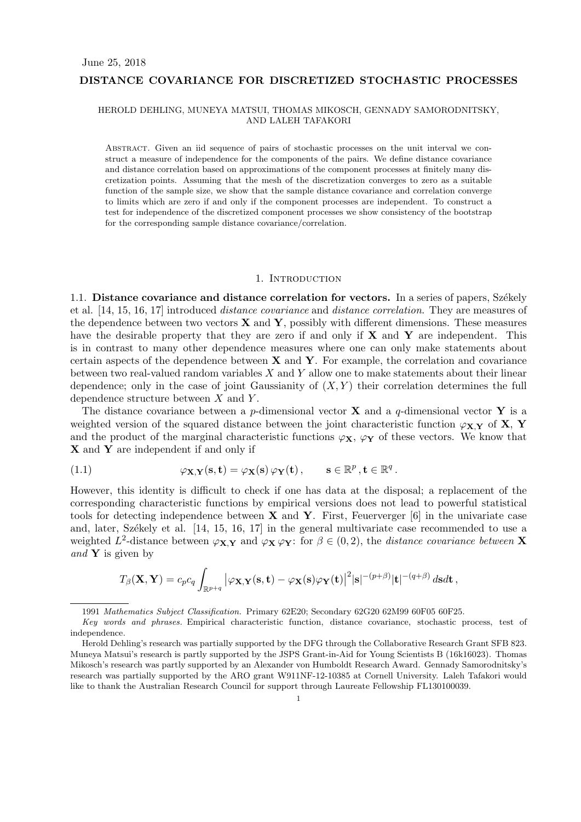### **DISTANCE COVARIANCE FOR DISCRETIZED STOCHASTIC PROCESSES**

### HEROLD DEHLING, MUNEYA MATSUI, THOMAS MIKOSCH, GENNADY SAMORODNITSKY, AND LALEH TAFAKORI

ABSTRACT. Given an iid sequence of pairs of stochastic processes on the unit interval we construct a measure of independence for the components of the pairs. We define distance covariance and distance correlation based on approximations of the component processes at finitely many discretization points. Assuming that the mesh of the discretization converges to zero as a suitable function of the sample size, we show that the sample distance covariance and correlation converge to limits which are zero if and only if the component processes are independent. To construct a test for independence of the discretized component processes we show consistency of the bootstrap for the corresponding sample distance covariance/correlation.

#### 1. INTRODUCTION

1.1. **Distance covariance and distance correlation for vectors.** In a series of papers, Székely et al. [14, 15, 16, 17] introduced *distance covariance* and *distance correlation*. They are measures of the dependence between two vectors **X** and **Y**, possibly with different dimensions. These measures have the desirable property that they are zero if and only if **X** and **Y** are independent. This is in contrast to many other dependence measures where one can only make statements about certain aspects of the dependence between **X** and **Y**. For example, the correlation and covariance between two real-valued random variables *X* and *Y* allow one to make statements about their linear dependence; only in the case of joint Gaussianity of (*X, Y* ) their correlation determines the full dependence structure between *X* and *Y* .

The distance covariance between a *p*-dimensional vector **X** and a *q*-dimensional vector **Y** is a weighted version of the squared distance between the joint characteristic function  $\varphi_{\mathbf{X},\mathbf{Y}}$  of **X**, **Y** and the product of the marginal characteristic functions  $\varphi_X$ ,  $\varphi_Y$  of these vectors. We know that **X** and **Y** are independent if and only if

(1.1) 
$$
\varphi_{\mathbf{X},\mathbf{Y}}(\mathbf{s},\mathbf{t}) = \varphi_{\mathbf{X}}(\mathbf{s}) \varphi_{\mathbf{Y}}(\mathbf{t}), \qquad \mathbf{s} \in \mathbb{R}^p, \mathbf{t} \in \mathbb{R}^q.
$$

However, this identity is difficult to check if one has data at the disposal; a replacement of the corresponding characteristic functions by empirical versions does not lead to powerful statistical tools for detecting independence between **X** and **Y**. First, Feuerverger [6] in the univariate case and, later, Székely et al.  $[14, 15, 16, 17]$  in the general multivariate case recommended to use a weighted  $L^2$ -distance between  $\varphi_{\mathbf{X},\mathbf{Y}}$  and  $\varphi_{\mathbf{X}} \varphi_{\mathbf{Y}}$ : for  $\beta \in (0,2)$ , the *distance covariance between* **X** *and* **Y** is given by

$$
T_{\beta}(\mathbf{X}, \mathbf{Y}) = c_p c_q \int_{\mathbb{R}^{p+q}} |\varphi_{\mathbf{X}, \mathbf{Y}}(\mathbf{s}, \mathbf{t}) - \varphi_{\mathbf{X}}(\mathbf{s}) \varphi_{\mathbf{Y}}(\mathbf{t})|^2 |\mathbf{s}|^{-(p+\beta)} |\mathbf{t}|^{-(q+\beta)} ds dt,
$$

<sup>1991</sup> *Mathematics Subject Classification.* Primary 62E20; Secondary 62G20 62M99 60F05 60F25.

*Key words and phrases.* Empirical characteristic function, distance covariance, stochastic process, test of independence.

Herold Dehling's research was partially supported by the DFG through the Collaborative Research Grant SFB 823. Muneya Matsui's research is partly supported by the JSPS Grant-in-Aid for Young Scientists B (16k16023). Thomas Mikosch's research was partly supported by an Alexander von Humboldt Research Award. Gennady Samorodnitsky's research was partially supported by the ARO grant W911NF-12-10385 at Cornell University. Laleh Tafakori would like to thank the Australian Research Council for support through Laureate Fellowship FL130100039.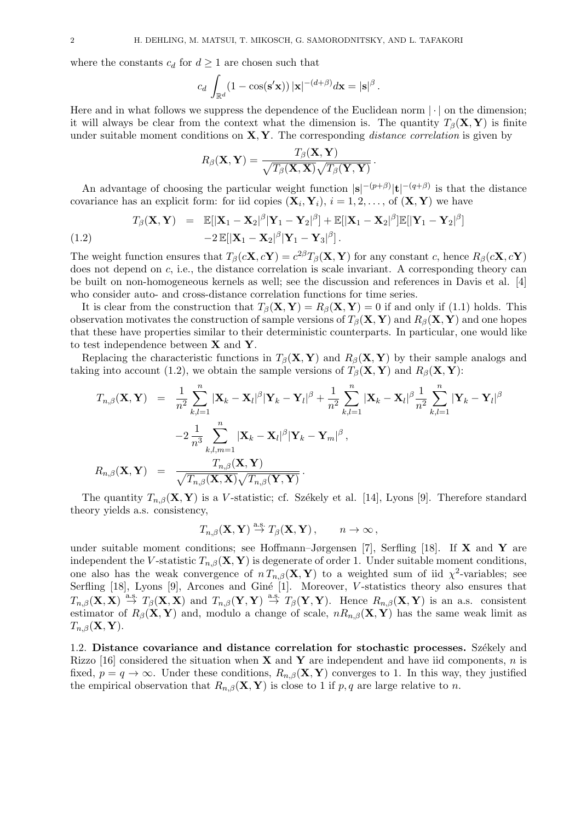where the constants  $c_d$  for  $d \geq 1$  are chosen such that

$$
c_d \int_{\mathbb{R}^d} (1 - \cos(\mathbf{s}'\mathbf{x})) |\mathbf{x}|^{-(d+\beta)} d\mathbf{x} = |\mathbf{s}|^{\beta}.
$$

Here and in what follows we suppress the dependence of the Euclidean norm  $\vert \cdot \vert$  on the dimension; it will always be clear from the context what the dimension is. The quantity  $T_\beta(\mathbf{X}, \mathbf{Y})$  is finite under suitable moment conditions on **X***,* **Y**. The corresponding *distance correlation* is given by

$$
R_{\beta}(\mathbf{X}, \mathbf{Y}) = \frac{T_{\beta}(\mathbf{X}, \mathbf{Y})}{\sqrt{T_{\beta}(\mathbf{X}, \mathbf{X})} \sqrt{T_{\beta}(\mathbf{Y}, \mathbf{Y})}}\,.
$$

An advantage of choosing the particular weight function  $|\mathbf{s}|^{-(p+\beta)}|\mathbf{t}|^{-(q+\beta)}$  is that the distance covariance has an explicit form: for iid copies  $(\mathbf{X}_i, \mathbf{Y}_i)$ ,  $i = 1, 2, \ldots$ , of  $(\mathbf{X}, \mathbf{Y})$  we have

(1.2) 
$$
T_{\beta}(\mathbf{X}, \mathbf{Y}) = \mathbb{E}[\|\mathbf{X}_1 - \mathbf{X}_2|^{\beta}|\mathbf{Y}_1 - \mathbf{Y}_2|^{\beta}] + \mathbb{E}[\|\mathbf{X}_1 - \mathbf{X}_2|^{\beta}]\mathbb{E}[\|\mathbf{Y}_1 - \mathbf{Y}_2|^{\beta}] - 2\mathbb{E}[\|\mathbf{X}_1 - \mathbf{X}_2|^{\beta}|\mathbf{Y}_1 - \mathbf{Y}_3|^{\beta}].
$$

The weight function ensures that  $T_{\beta}(c\mathbf{X}, c\mathbf{Y}) = c^{2\beta}T_{\beta}(\mathbf{X}, \mathbf{Y})$  for any constant c, hence  $R_{\beta}(c\mathbf{X}, c\mathbf{Y})$ does not depend on *c*, i.e., the distance correlation is scale invariant. A corresponding theory can be built on non-homogeneous kernels as well; see the discussion and references in Davis et al. [4] who consider auto- and cross-distance correlation functions for time series.

It is clear from the construction that  $T_\beta(\mathbf{X}, \mathbf{Y}) = R_\beta(\mathbf{X}, \mathbf{Y}) = 0$  if and only if (1.1) holds. This observation motivates the construction of sample versions of  $T_\beta(\mathbf{X}, \mathbf{Y})$  and  $R_\beta(\mathbf{X}, \mathbf{Y})$  and one hopes that these have properties similar to their deterministic counterparts. In particular, one would like to test independence between **X** and **Y**.

Replacing the characteristic functions in  $T_\beta(\mathbf{X}, \mathbf{Y})$  and  $R_\beta(\mathbf{X}, \mathbf{Y})$  by their sample analogs and taking into account (1.2), we obtain the sample versions of  $T_\beta(\mathbf{X}, \mathbf{Y})$  and  $R_\beta(\mathbf{X}, \mathbf{Y})$ :

$$
T_{n,\beta}(\mathbf{X}, \mathbf{Y}) = \frac{1}{n^2} \sum_{k,l=1}^n |\mathbf{X}_k - \mathbf{X}_l|^{\beta} |\mathbf{Y}_k - \mathbf{Y}_l|^{\beta} + \frac{1}{n^2} \sum_{k,l=1}^n |\mathbf{X}_k - \mathbf{X}_l|^{\beta} \frac{1}{n^2} \sum_{k,l=1}^n |\mathbf{Y}_k - \mathbf{Y}_l|^{\beta}
$$
  

$$
-2 \frac{1}{n^3} \sum_{k,l,m=1}^n |\mathbf{X}_k - \mathbf{X}_l|^{\beta} |\mathbf{Y}_k - \mathbf{Y}_m|^{\beta},
$$
  

$$
R_{n,\beta}(\mathbf{X}, \mathbf{Y}) = \frac{T_{n,\beta}(\mathbf{X}, \mathbf{Y})}{\sqrt{T_{n,\beta}(\mathbf{X}, \mathbf{X})} \sqrt{T_{n,\beta}(\mathbf{Y}, \mathbf{Y})}}.
$$

The quantity  $T_{n,\beta}(\mathbf{X},\mathbf{Y})$  is a *V*-statistic; cf. Székely et al. [14], Lyons [9]. Therefore standard theory yields a.s. consistency,

$$
T_{n,\beta}(\mathbf{X}, \mathbf{Y}) \stackrel{\text{a.s.}}{\rightarrow} T_{\beta}(\mathbf{X}, \mathbf{Y}), \qquad n \to \infty,
$$

under suitable moment conditions; see Hoffmann–Jørgensen [7], Serfling [18]. If **X** and **Y** are independent the *V*-statistic  $T_{n,\beta}(\mathbf{X}, \mathbf{Y})$  is degenerate of order 1. Under suitable moment conditions, one also has the weak convergence of  $n T_{n,\beta}(\mathbf{X}, \mathbf{Y})$  to a weighted sum of iid  $\chi^2$ -variables; see Serfling [18], Lyons [9], Arcones and Giné [1]. Moreover, *V*-statistics theory also ensures that  $T_{n,\beta}(\mathbf{X}, \mathbf{X}) \stackrel{\text{a.s.}}{\rightarrow} T_{\beta}(\mathbf{X}, \mathbf{X})$  and  $T_{n,\beta}(\mathbf{Y}, \mathbf{Y}) \stackrel{\text{a.s.}}{\rightarrow} T_{\beta}(\mathbf{Y}, \mathbf{Y})$ . Hence  $R_{n,\beta}(\mathbf{X}, \mathbf{Y})$  is an a.s. consistent estimator of  $R_\beta(\mathbf{X}, \mathbf{Y})$  and, modulo a change of scale,  $nR_{n,\beta}(\mathbf{X}, \mathbf{Y})$  has the same weak limit as *Tn,β*(**X***,* **Y**).

1.2. **Distance covariance and distance correlation for stochastic processes.** Székely and Rizzo [16] considered the situation when **X** and **Y** are independent and have iid components, *n* is fixed,  $p = q \rightarrow \infty$ . Under these conditions,  $R_{n,\beta}(\mathbf{X}, \mathbf{Y})$  converges to 1. In this way, they justified the empirical observation that  $R_{n,\beta}(\mathbf{X}, \mathbf{Y})$  is close to 1 if *p, q* are large relative to *n*.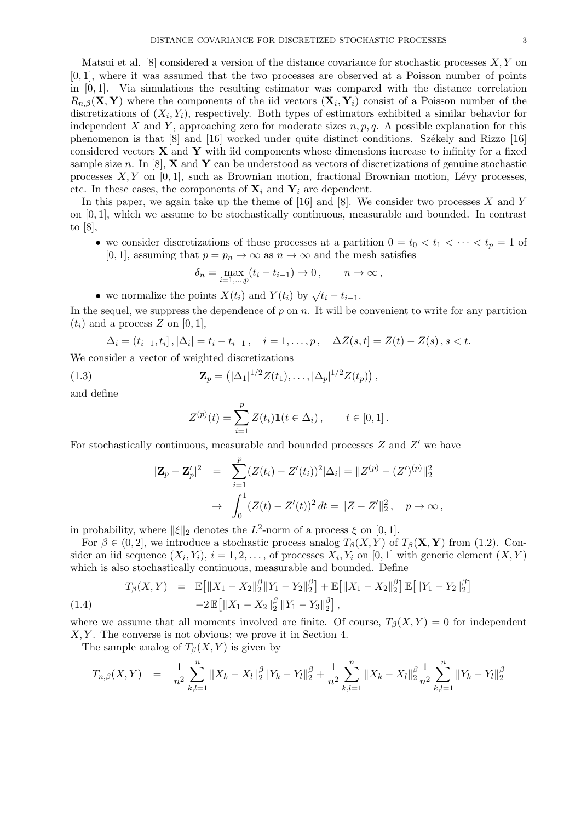Matsui et al. [8] considered a version of the distance covariance for stochastic processes *X, Y* on [0*,* 1], where it was assumed that the two processes are observed at a Poisson number of points in [0*,* 1]. Via simulations the resulting estimator was compared with the distance correlation  $R_{n,\beta}(\mathbf{X}, \mathbf{Y})$  where the components of the iid vectors  $(\mathbf{X}_i, \mathbf{Y}_i)$  consist of a Poisson number of the discretizations of  $(X_i, Y_i)$ , respectively. Both types of estimators exhibited a similar behavior for independent *X* and *Y*, approaching zero for moderate sizes  $n, p, q$ . A possible explanation for this phenomenon is that  $[8]$  and  $[16]$  worked under quite distinct conditions. Székely and Rizzo  $[16]$ considered vectors **X** and **Y** with iid components whose dimensions increase to infinity for a fixed sample size *n*. In [8], **X** and **Y** can be understood as vectors of discretizations of genuine stochastic processes  $X, Y$  on [0,1], such as Brownian motion, fractional Brownian motion, Lévy processes, etc. In these cases, the components of  $\mathbf{X}_i$  and  $\mathbf{Y}_i$  are dependent.

In this paper, we again take up the theme of [16] and [8]. We consider two processes *X* and *Y* on [0*,* 1], which we assume to be stochastically continuous, measurable and bounded. In contrast to [8],

• we consider discretizations of these processes at a partition  $0 = t_0 < t_1 < \cdots < t_p = 1$  of [0, 1], assuming that  $p = p_n \to \infty$  as  $n \to \infty$  and the mesh satisfies

$$
\delta_n = \max_{i=1,\dots,p} (t_i - t_{i-1}) \to 0, \qquad n \to \infty,
$$

• we normalize the points 
$$
X(t_i)
$$
 and  $Y(t_i)$  by  $\sqrt{t_i - t_{i-1}}$ .

In the sequel, we suppress the dependence of p on n. It will be convenient to write for any partition  $(t_i)$  and a process  $Z$  on  $[0, 1]$ ,

$$
\Delta_i = (t_{i-1}, t_i], |\Delta_i| = t_i - t_{i-1}, \quad i = 1, \dots, p, \quad \Delta Z(s, t) = Z(t) - Z(s), s < t.
$$

We consider a vector of weighted discretizations

(1.3) 
$$
\mathbf{Z}_p = (|\Delta_1|^{1/2} Z(t_1), \dots, |\Delta_p|^{1/2} Z(t_p)),
$$

and define

$$
Z^{(p)}(t) = \sum_{i=1}^{p} Z(t_i) \mathbf{1}(t \in \Delta_i), \qquad t \in [0, 1].
$$

For stochastically continuous, measurable and bounded processes *Z* and *Z ′* we have

$$
|\mathbf{Z}_p - \mathbf{Z}'_p|^2 = \sum_{i=1}^p (Z(t_i) - Z'(t_i))^2 |\Delta_i| = ||Z^{(p)} - (Z')^{(p)}||_2^2
$$
  
 
$$
\rightarrow \int_0^1 (Z(t) - Z'(t))^2 dt = ||Z - Z'||_2^2, \quad p \rightarrow \infty,
$$

in probability, where  $\|\xi\|_2$  denotes the  $L^2$ -norm of a process  $\xi$  on [0, 1].

For  $\beta \in (0, 2]$ , we introduce a stochastic process analog  $T_{\beta}(X, Y)$  of  $T_{\beta}(\mathbf{X}, \mathbf{Y})$  from (1.2). Consider an iid sequence  $(X_i, Y_i)$ ,  $i = 1, 2, \ldots$ , of processes  $X_i, Y_i$  on [0, 1] with generic element  $(X, Y)$ which is also stochastically continuous, measurable and bounded. Define

$$
T_{\beta}(X,Y) = \mathbb{E}\big[\|X_1 - X_2\|_2^{\beta} \|Y_1 - Y_2\|_2^{\beta}\big] + \mathbb{E}\big[\|X_1 - X_2\|_2^{\beta}\big] \mathbb{E}\big[\|Y_1 - Y_2\|_2^{\beta}\big] - 2\mathbb{E}\big[\|X_1 - X_2\|_2^{\beta} \|Y_1 - Y_3\|_2^{\beta}\big],
$$
\n(1.4)

where we assume that all moments involved are finite. Of course,  $T_\beta(X, Y) = 0$  for independent *X, Y* . The converse is not obvious; we prove it in Section 4.

The sample analog of  $T_\beta(X, Y)$  is given by

$$
T_{n,\beta}(X,Y) = \frac{1}{n^2} \sum_{k,l=1}^n \|X_k - X_l\|_2^{\beta} \|Y_k - Y_l\|_2^{\beta} + \frac{1}{n^2} \sum_{k,l=1}^n \|X_k - X_l\|_2^{\beta} \frac{1}{n^2} \sum_{k,l=1}^n \|Y_k - Y_l\|_2^{\beta}
$$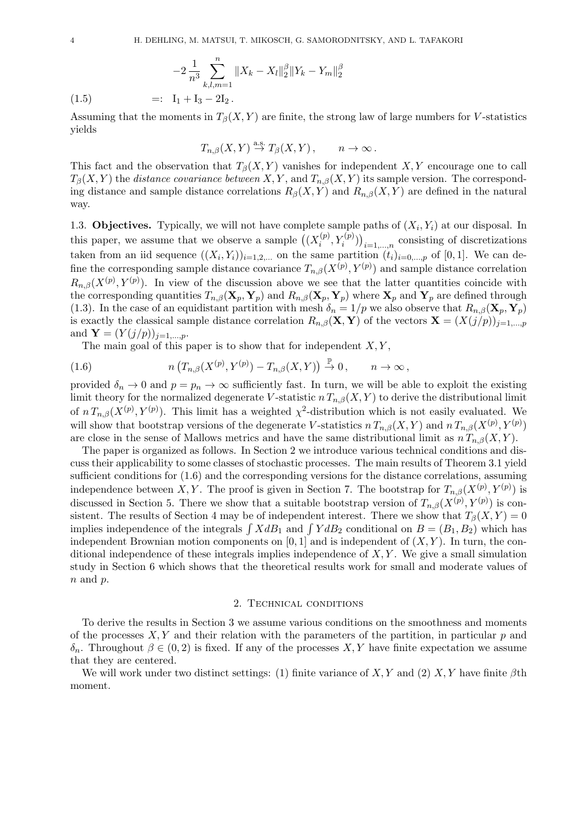$$
-2\frac{1}{n^3}\sum_{k,l,m=1}^{n}||X_k - X_l||_2^{\beta}||Y_k - Y_m||_2^{\beta}
$$

(1.5)  $=:\ I_1 + I_3 - 2I_2.$ 

Assuming that the moments in  $T_\beta(X, Y)$  are finite, the strong law of large numbers for *V*-statistics yields

$$
T_{n,\beta}(X,Y) \stackrel{\text{a.s.}}{\to} T_{\beta}(X,Y), \qquad n \to \infty.
$$

This fact and the observation that  $T_\beta(X, Y)$  vanishes for independent *X,Y* encourage one to call  $T_\beta(X, Y)$  the *distance covariance between*  $X, Y$ , and  $T_{n,\beta}(X, Y)$  its sample version. The corresponding distance and sample distance correlations  $R_\beta(X, Y)$  and  $R_{n,\beta}(X, Y)$  are defined in the natural way.

1.3. **Objectives.** Typically, we will not have complete sample paths of  $(X_i, Y_i)$  at our disposal. In this paper, we assume that we observe a sample  $((X_i^{(p)})$  $\binom{p}{i}$ ,  $Y_i^{(p)}$ ) $)$ <sub>*i*=1,...,*n*</sub> consisting of discretizations taken from an iid sequence  $((X_i, Y_i))_{i=1,2,...}$  on the same partition  $(t_i)_{i=0,...,p}$  of [0,1]. We can define the corresponding sample distance covariance  $T_{n,\beta}(X^{(p)}, Y^{(p)})$  and sample distance correlation  $R_{n,\beta}(X^{(p)}, Y^{(p)})$ . In view of the discussion above we see that the latter quantities coincide with the corresponding quantities  $T_{n,\beta}(\mathbf{X}_p, \mathbf{Y}_p)$  and  $R_{n,\beta}(\mathbf{X}_p, \mathbf{Y}_p)$  where  $\mathbf{X}_p$  and  $\mathbf{Y}_p$  are defined through (1.3). In the case of an equidistant partition with mesh  $\delta_n = 1/p$  we also observe that  $R_{n,\beta}(\mathbf{X}_p, \mathbf{Y}_p)$ is exactly the classical sample distance correlation  $R_{n,\beta}(\mathbf{X}, \mathbf{Y})$  of the vectors  $\mathbf{X} = (X(j/p))_{j=1,\dots,p}$ and  $Y = (Y(j/p))_{j=1,...,p}$ .

The main goal of this paper is to show that for independent *X, Y* ,

(1.6) 
$$
n\left(T_{n,\beta}(X^{(p)},Y^{(p)}) - T_{n,\beta}(X,Y)\right) \stackrel{\mathbb{P}}{\rightarrow} 0, \qquad n \to \infty,
$$

provided  $\delta_n \to 0$  and  $p = p_n \to \infty$  sufficiently fast. In turn, we will be able to exploit the existing limit theory for the normalized degenerate *V*-statistic  $n T_{n,\beta}(X, Y)$  to derive the distributional limit of  $n T_{n,\beta}(X^{(p)}, Y^{(p)})$ . This limit has a weighted  $\chi^2$ -distribution which is not easily evaluated. We will show that bootstrap versions of the degenerate *V*-statistics  $n T_{n,\beta}(X, Y)$  and  $n T_{n,\beta}(X^{(p)}, Y^{(p)})$ are close in the sense of Mallows metrics and have the same distributional limit as  $n T_{n,\beta}(X, Y)$ .

The paper is organized as follows. In Section 2 we introduce various technical conditions and discuss their applicability to some classes of stochastic processes. The main results of Theorem 3.1 yield sufficient conditions for (1.6) and the corresponding versions for the distance correlations, assuming independence between *X,Y*. The proof is given in Section 7. The bootstrap for  $T_{n,\beta}(X^{(p)}, Y^{(p)})$  is discussed in Section 5. There we show that a suitable bootstrap version of  $T_{n,\beta}(X^{(p)}, Y^{(p)})$  is consistent. The results of Section 4 may be of independent interest. There we show that  $T_\beta(X, Y) = 0$ implies independence of the integrals  $\int X dB_1$  and  $\int Y dB_2$  conditional on  $B = (B_1, B_2)$  which has independent Brownian motion components on  $[0, 1]$  and is independent of  $(X, Y)$ . In turn, the conditional independence of these integrals implies independence of *X, Y* . We give a small simulation study in Section 6 which shows that the theoretical results work for small and moderate values of *n* and *p*.

### 2. Technical conditions

To derive the results in Section 3 we assume various conditions on the smoothness and moments of the processes  $X, Y$  and their relation with the parameters of the partition, in particular  $p$  and *δ*<sub>*n*</sub>. Throughout *β* ∈ (0, 2) is fixed. If any of the processes *X, Y* have finite expectation we assume that they are centered.

We will work under two distinct settings: (1) finite variance of *X, Y* and (2) *X, Y* have finite *β*th moment.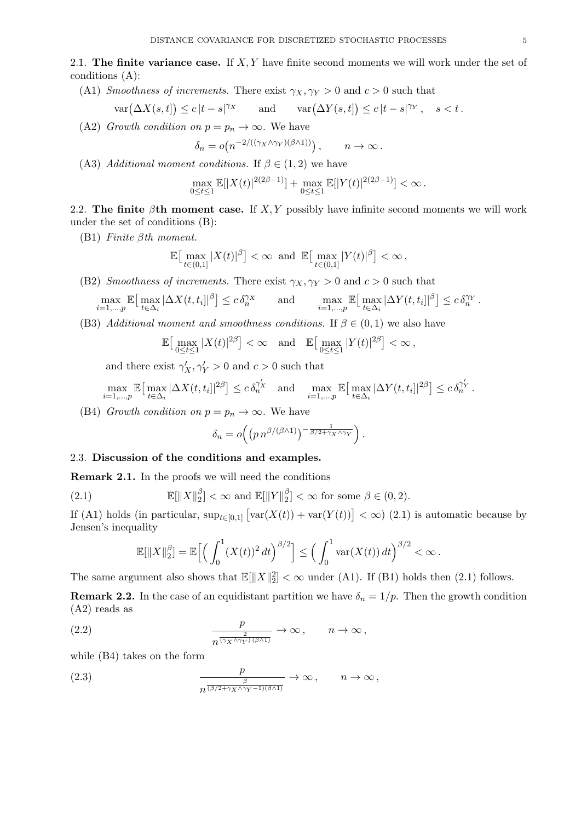2.1. **The finite variance case.** If *X, Y* have finite second moments we will work under the set of conditions (A):

(A1) *Smoothness of increments.* There exist  $\gamma_X, \gamma_Y > 0$  and  $c > 0$  such that

$$
\text{var}(\Delta X(s,t]) \le c\,|t-s|^{\gamma_X} \qquad \text{and} \qquad \text{var}(\Delta Y(s,t]) \le c\,|t-s|^{\gamma_Y}, \quad s < t \,.
$$

(A2) *Growth condition on*  $p = p_n \rightarrow \infty$ . We have

$$
\delta_n = o(n^{-2/((\gamma_X \wedge \gamma_Y)(\beta \wedge 1))}), \qquad n \to \infty.
$$

(A3) *Additional moment conditions.* If  $\beta \in (1,2)$  we have

$$
\max_{0 \le t \le 1} \mathbb{E}[|X(t)|^{2(2\beta - 1)}] + \max_{0 \le t \le 1} \mathbb{E}[|Y(t)|^{2(2\beta - 1)}] < \infty.
$$

2.2. **The finite** *β***th moment case.** If *X, Y* possibly have infinite second moments we will work under the set of conditions (B):

(B1) *Finite βth moment.*

$$
\mathbb{E}\big[\max_{t\in(0,1]}|X(t)|^{\beta}\big]<\infty \ \text{ and }\ \mathbb{E}\big[\max_{t\in(0,1]}|Y(t)|^{\beta}\big]<\infty,
$$

(B2) *Smoothness of increments.* There exist  $\gamma_X, \gamma_Y > 0$  and  $c > 0$  such that

$$
\max_{i=1,\dots,p} \mathbb{E}\big[\max_{t\in\Delta_i} |\Delta X(t,t_i)|^{\beta}\big] \leq c \,\delta_n^{\gamma x} \qquad \text{and} \qquad \max_{i=1,\dots,p} \mathbb{E}\big[\max_{t\in\Delta_i} |\Delta Y(t,t_i)|^{\beta}\big] \leq c \,\delta_n^{\gamma y} \;.
$$

(B3) *Additional moment and smoothness conditions.* If  $\beta \in (0,1)$  we also have

$$
\mathbb{E}\big[\max_{0\leq t\leq 1}|X(t)|^{2\beta}\big]<\infty\quad\text{and}\quad\mathbb{E}\big[\max_{0\leq t\leq 1}|Y(t)|^{2\beta}\big]<\infty\,,
$$

and there exist  $\gamma'_X, \gamma'_Y > 0$  and  $c > 0$  such that

$$
\max_{i=1,\dots,p} \mathbb{E}\big[\max_{t\in\Delta_i} |\Delta X(t,t_i]|^{2\beta}\big] \leq c \,\delta_n^{\gamma'_X} \quad \text{and} \quad \max_{i=1,\dots,p} \mathbb{E}\big[\max_{t\in\Delta_i} |\Delta Y(t,t_i]|^{2\beta}\big] \leq c \,\delta_n^{\gamma'_Y} \,.
$$

(B4) *Growth condition on*  $p = p_n \rightarrow \infty$ . We have

$$
\delta_n = o\Big(\big(p\,n^{\beta/(\beta \wedge 1)}\big)^{-\frac{1}{\beta/2 + \gamma_X \wedge \gamma_Y}}\Big)\,.
$$

# 2.3. **Discussion of the conditions and examples.**

**Remark 2.1.** In the proofs we will need the conditions

(2.1) 
$$
\mathbb{E}[\|X\|_2^{\beta}] < \infty \text{ and } \mathbb{E}[\|Y\|_2^{\beta}] < \infty \text{ for some } \beta \in (0,2).
$$

If (A1) holds (in particular,  $\sup_{t \in [0,1]} [\text{var}(X(t)) + \text{var}(Y(t))] < \infty$ ) (2.1) is automatic because by Jensen's inequality

$$
\mathbb{E}[\|X\|_2^{\beta}] = \mathbb{E}\Big[\Big(\int_0^1 (X(t))^2 dt\Big)^{\beta/2}\Big] \le \Big(\int_0^1 \text{var}(X(t)) dt\Big)^{\beta/2} < \infty.
$$

The same argument also shows that  $\mathbb{E}[\|X\|_2^2] < \infty$  under (A1). If (B1) holds then (2.1) follows.

**Remark 2.2.** In the case of an equidistant partition we have  $\delta_n = 1/p$ . Then the growth condition (A2) reads as

(2.2) 
$$
\frac{p}{n^{\frac{2}{(\gamma_X \wedge \gamma_Y)(\beta \wedge 1)}}} \to \infty, \qquad n \to \infty,
$$

while (B4) takes on the form

(2.3) 
$$
\frac{p}{n^{\frac{\beta}{(\beta/2+\gamma_X\wedge\gamma_Y-1)(\beta\wedge 1)}}} \to \infty, \qquad n \to \infty,
$$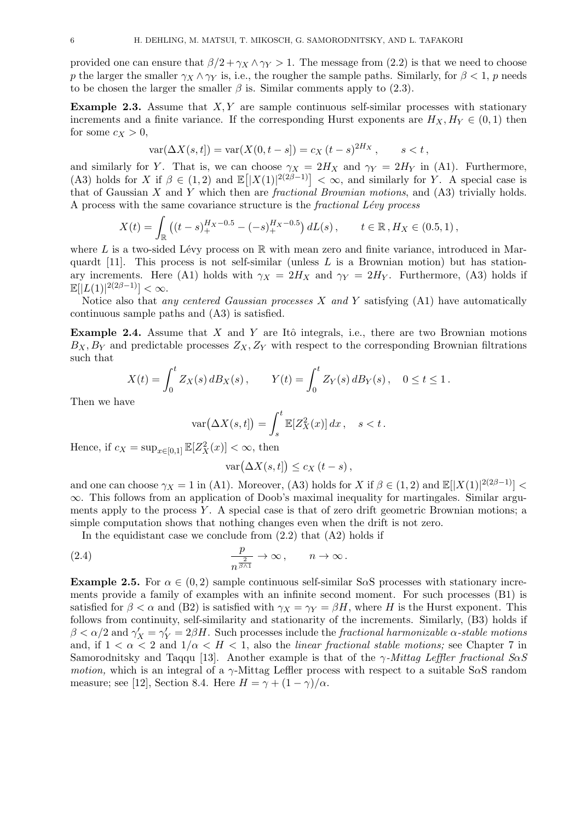provided one can ensure that  $\beta/2 + \gamma_X \wedge \gamma_Y > 1$ . The message from (2.2) is that we need to choose *p* the larger the smaller  $\gamma_X \wedge \gamma_Y$  is, i.e., the rougher the sample paths. Similarly, for  $\beta < 1$ , *p* needs to be chosen the larger the smaller  $\beta$  is. Similar comments apply to (2.3).

**Example 2.3.** Assume that *X,Y* are sample continuous self-similar processes with stationary increments and a finite variance. If the corresponding Hurst exponents are  $H_X, H_Y \in (0,1)$  then for some  $c_X > 0$ ,

$$
var(\Delta X(s,t)) = var(X(0,t-s)) = c_X (t-s)^{2H_X}, \quad s < t,
$$

and similarly for *Y*. That is, we can choose  $\gamma_X = 2H_X$  and  $\gamma_Y = 2H_Y$  in (A1). Furthermore, (A3) holds for *X* if  $\beta \in (1,2)$  and  $\mathbb{E}[|X(1)|^{2(2\beta-1)}] < \infty$ , and similarly for *Y*. A special case is that of Gaussian *X* and *Y* which then are *fractional Brownian motions*, and (A3) trivially holds. A process with the same covariance structure is the *fractional L´evy process*

$$
X(t) = \int_{\mathbb{R}} \left( (t-s)_+^{H_X - 0.5} - (-s)_+^{H_X - 0.5} \right) dL(s) \,, \qquad t \in \mathbb{R} \,, H_X \in (0.5, 1) \,,
$$

where  $L$  is a two-sided Lévy process on  $\mathbb R$  with mean zero and finite variance, introduced in Marquardt [11]. This process is not self-similar (unless *L* is a Brownian motion) but has stationary increments. Here (A1) holds with  $\gamma_X = 2H_X$  and  $\gamma_Y = 2H_Y$ . Furthermore, (A3) holds if  $\mathbb{E}[|L(1)|^{2(2\beta-1)}] < \infty.$ 

Notice also that *any centered Gaussian processes X and Y* satisfying (A1) have automatically continuous sample paths and (A3) is satisfied.

**Example 2.4.** Assume that *X* and *Y* are Itô integrals, i.e., there are two Brownian motions  $B_X, B_Y$  and predictable processes  $Z_X, Z_Y$  with respect to the corresponding Brownian filtrations such that

$$
X(t) = \int_0^t Z_X(s) \, dB_X(s) \, , \qquad Y(t) = \int_0^t Z_Y(s) \, dB_Y(s) \, , \quad 0 \le t \le 1 \, .
$$

Then we have

$$
\text{var}\big(\Delta X(s,t]\big) = \int_s^t \mathbb{E}[Z_X^2(x)]\,dx\,, \quad s < t\,.
$$

Hence, if  $c_X = \sup_{x \in [0,1]} \mathbb{E}[Z_X^2(x)] < \infty$ , then

$$
\text{var}(\Delta X(s,t]) \le c_X \left(t - s\right),
$$

and one can choose  $\gamma_X = 1$  in (A1). Moreover, (A3) holds for *X* if  $\beta \in (1,2)$  and  $\mathbb{E}[|X(1)|^{2(2\beta-1)}]$  < *∞*. This follows from an application of Doob's maximal inequality for martingales. Similar arguments apply to the process *Y* . A special case is that of zero drift geometric Brownian motions; a simple computation shows that nothing changes even when the drift is not zero.

In the equidistant case we conclude from  $(2.2)$  that  $(A2)$  holds if

(2.4) 
$$
\frac{p}{n^{\frac{2}{\beta \wedge 1}}} \to \infty, \qquad n \to \infty.
$$

**Example 2.5.** For  $\alpha \in (0, 2)$  sample continuous self-similar S $\alpha$ S processes with stationary increments provide a family of examples with an infinite second moment. For such processes (B1) is satisfied for  $\beta < \alpha$  and (B2) is satisfied with  $\gamma_X = \gamma_Y = \beta H$ , where *H* is the Hurst exponent. This follows from continuity, self-similarity and stationarity of the increments. Similarly, (B3) holds if  $\beta < \alpha/2$  and  $\gamma'_X = \gamma'_Y = 2\beta H$ . Such processes include the *fractional harmonizable*  $\alpha$ *-stable motions* and, if  $1 < \alpha < 2$  and  $1/\alpha < H < 1$ , also the *linear fractional stable motions*; see Chapter 7 in Samorodnitsky and Taqqu [13]. Another example is that of the *γ-Mittag Leffler fractional SαS motion,* which is an integral of a *γ*-Mittag Leffler process with respect to a suitable S*α*S random measure; see [12], Section 8.4. Here  $H = \gamma + (1 - \gamma)/\alpha$ .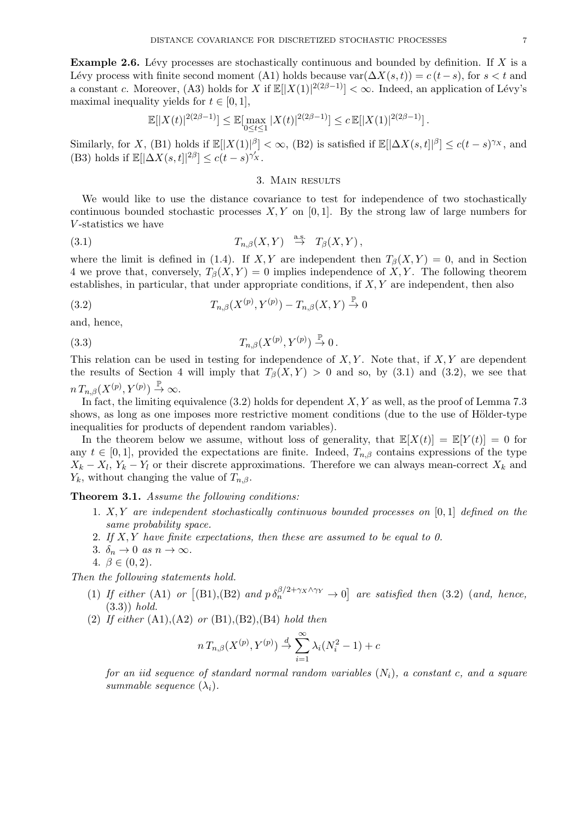**Example 2.6.** Lévy processes are stochastically continuous and bounded by definition. If X is a Lévy process with finite second moment (A1) holds because  $\text{var}(\Delta X(s,t)) = c(t-s)$ , for  $s < t$  and a constant *c*. Moreover, (A3) holds for *X* if  $\mathbb{E}[|X(1)|^{2(2\beta-1)}] < \infty$ . Indeed, an application of Lévy's maximal inequality yields for  $t \in [0, 1]$ ,

$$
\mathbb{E}[|X(t)|^{2(2\beta-1)}] \leq \mathbb{E}[\max_{0 \leq t \leq 1} |X(t)|^{2(2\beta-1)}] \leq c \, \mathbb{E}[|X(1)|^{2(2\beta-1)}].
$$

Similarly, for X, (B1) holds if  $\mathbb{E}[|X(1)|^{\beta}] < \infty$ , (B2) is satisfied if  $\mathbb{E}[|\Delta X(s,t]|^{\beta}] \le c(t-s)^{\gamma_X}$ , and (B3) holds if  $\mathbb{E}[|\Delta X(s,t]|^{2\beta}] \leq c(t-s)^{\gamma'_X}$ .

#### 3. Main results

We would like to use the distance covariance to test for independence of two stochastically continuous bounded stochastic processes  $X, Y$  on [0, 1]. By the strong law of large numbers for *V* -statistics we have

(3.1) 
$$
T_{n,\beta}(X,Y) \stackrel{\text{a.s.}}{\rightarrow} T_{\beta}(X,Y),
$$

where the limit is defined in (1.4). If *X,Y* are independent then  $T_\beta(X, Y) = 0$ , and in Section 4 we prove that, conversely,  $T_\beta(X, Y) = 0$  implies independence of X, Y. The following theorem establishes, in particular, that under appropriate conditions, if *X, Y* are independent, then also

$$
(3.2) \t\t T_{n,\beta}(X^{(p)}, Y^{(p)}) - T_{n,\beta}(X,Y) \stackrel{\mathbb{P}}{\to} 0
$$

and, hence,

$$
(3.3) \t\t T_{n,\beta}(X^{(p)}, Y^{(p)}) \stackrel{\mathbb{P}}{\rightarrow} 0.
$$

This relation can be used in testing for independence of *X, Y* . Note that, if *X, Y* are dependent the results of Section 4 will imply that  $T_\beta(X, Y) > 0$  and so, by (3.1) and (3.2), we see that  $n T_{n,\beta}(X^{(p)}, Y^{(p)}) \stackrel{\mathbb{P}}{\rightarrow} \infty.$ 

In fact, the limiting equivalence (3.2) holds for dependent *X, Y* as well, as the proof of Lemma 7.3 shows, as long as one imposes more restrictive moment conditions (due to the use of Hölder-type inequalities for products of dependent random variables).

In the theorem below we assume, without loss of generality, that  $\mathbb{E}[X(t)] = \mathbb{E}[Y(t)] = 0$  for any  $t \in [0, 1]$ , provided the expectations are finite. Indeed,  $T_{n,\beta}$  contains expressions of the type  $X_k - X_l, Y_k - Y_l$  or their discrete approximations. Therefore we can always mean-correct  $X_k$  and *Y*<sup>*k*</sup>, without changing the value of  $T_{n,\beta}$ .

**Theorem 3.1.** *Assume the following conditions:*

- 1. *X, Y are independent stochastically continuous bounded processes on* [0*,* 1] *defined on the same probability space.*
- 2. *If X, Y have finite expectations, then these are assumed to be equal to 0.*
- 3.  $\delta_n \to 0$  *as*  $n \to \infty$ .
- 4.  $\beta \in (0, 2)$ .

*Then the following statements hold.*

- (1) *If either* (A1) *or*  $[(B1),(B2)$  *and*  $p \delta_n^{\beta/2+\gamma_X\wedge\gamma_Y} \to 0$  *are satisfied then* (3.2) *(and, hence,* (3.3)) *hold.*
- (2) *If either* (A1),(A2) *or* (B1),(B2),(B4) *hold then*

$$
n T_{n,\beta}(X^{(p)}, Y^{(p)}) \stackrel{d}{\to} \sum_{i=1}^{\infty} \lambda_i (N_i^2 - 1) + c
$$

*for an iid sequence of standard normal random variables* (*Ni*)*, a constant c, and a square summable sequence*  $(\lambda_i)$ .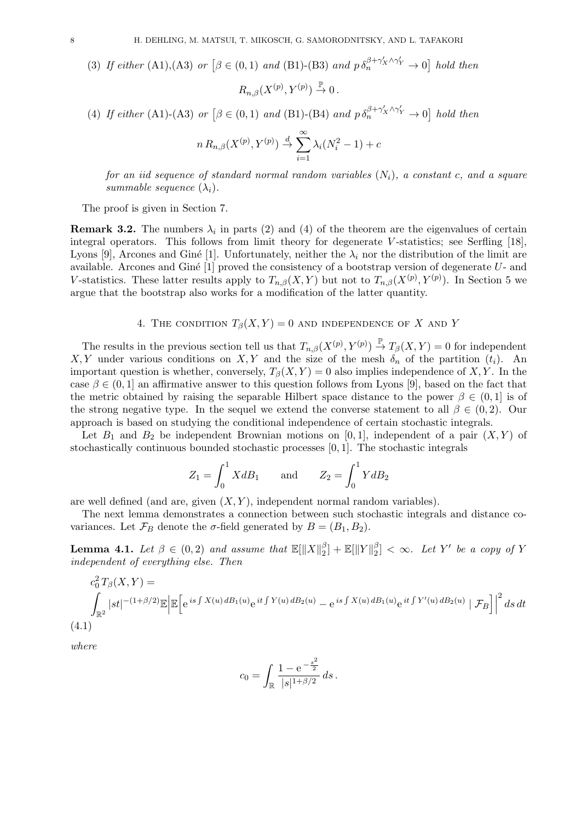(3) If either (A1),(A3) or 
$$
[\beta \in (0,1)
$$
 and (B1)-(B3) and  $p \delta_n^{\beta+\gamma'_X \wedge \gamma'_Y} \to 0]$  hold then  

$$
R_{n,\beta}(X^{(p)}, Y^{(p)}) \xrightarrow{\mathbb{P}} 0.
$$

(4) If either (A1)-(A3) or 
$$
\left[\beta \in (0,1) \text{ and } (B1)-(B4) \text{ and } p \delta_n^{\beta+\gamma'_X \wedge \gamma'_Y} \to 0\right]
$$
 hold then

$$
n R_{n,\beta}(X^{(p)}, Y^{(p)}) \stackrel{d}{\rightarrow} \sum_{i=1}^{\infty} \lambda_i (N_i^2 - 1) + c
$$

*for an iid sequence of standard normal random variables* (*Ni*)*, a constant c, and a square summable sequence*  $(\lambda_i)$ .

The proof is given in Section 7.

**Remark 3.2.** The numbers  $\lambda_i$  in parts (2) and (4) of the theorem are the eigenvalues of certain integral operators. This follows from limit theory for degenerate *V* -statistics; see Serfling [18], Lyons [9], Arcones and Giné [1]. Unfortunately, neither the  $\lambda_i$  nor the distribution of the limit are available. Arcones and Giné [1] proved the consistency of a bootstrap version of degenerate *U*- and *V*-statistics. These latter results apply to  $T_{n,\beta}(X,Y)$  but not to  $T_{n,\beta}(X^{(p)},Y^{(p)})$ . In Section 5 we argue that the bootstrap also works for a modification of the latter quantity.

### 4. THE CONDITION  $T_\beta(X, Y) = 0$  AND INDEPENDENCE OF X AND Y

The results in the previous section tell us that  $T_{n,\beta}(X^{(p)}, Y^{(p)}) \stackrel{\mathbb{P}}{\rightarrow} T_{\beta}(X, Y) = 0$  for independent *X, Y* under various conditions on *X, Y* and the size of the mesh  $\delta_n$  of the partition  $(t_i)$ . An important question is whether, conversely,  $T_\beta(X, Y) = 0$  also implies independence of *X*, *Y*. In the case  $\beta \in (0, 1]$  an affirmative answer to this question follows from Lyons [9], based on the fact that the metric obtained by raising the separable Hilbert space distance to the power  $\beta \in (0,1]$  is of the strong negative type. In the sequel we extend the converse statement to all  $\beta \in (0, 2)$ . Our approach is based on studying the conditional independence of certain stochastic integrals.

Let  $B_1$  and  $B_2$  be independent Brownian motions on [0,1], independent of a pair  $(X, Y)$  of stochastically continuous bounded stochastic processes [0*,* 1]. The stochastic integrals

$$
Z_1 = \int_0^1 X dB_1 \quad \text{and} \quad Z_2 = \int_0^1 Y dB_2
$$

are well defined (and are, given  $(X, Y)$ , independent normal random variables).

The next lemma demonstrates a connection between such stochastic integrals and distance covariances. Let  $\mathcal{F}_B$  denote the *σ*-field generated by  $B = (B_1, B_2)$ .

**Lemma 4.1.** *Let*  $\beta \in (0,2)$  *and assume that*  $\mathbb{E}[\|X\|_2^{\beta}]$  $\frac{\beta}{2}$ ] +  $\mathbb{E}[\|Y\|_2^{\beta}]$  $\binom{p}{2} < \infty$ . Let Y' be a copy of Y *independent of everything else. Then*

$$
c_0^2 T_{\beta}(X, Y) =
$$
  

$$
\int_{\mathbb{R}^2} |st|^{-(1+\beta/2)} \mathbb{E} \left| \mathbb{E} \left[ e^{is \int X(u) dB_1(u)} e^{it \int Y(u) dB_2(u)} - e^{is \int X(u) dB_1(u)} e^{it \int Y'(u) dB_2(u)} \mid \mathcal{F}_B \right] \right|^2 ds dt
$$
  
(4.1)

*where*

$$
c_0 = \int_{\mathbb{R}} \frac{1 - e^{-\frac{s^2}{2}}}{|s|^{1 + \beta/2}} ds.
$$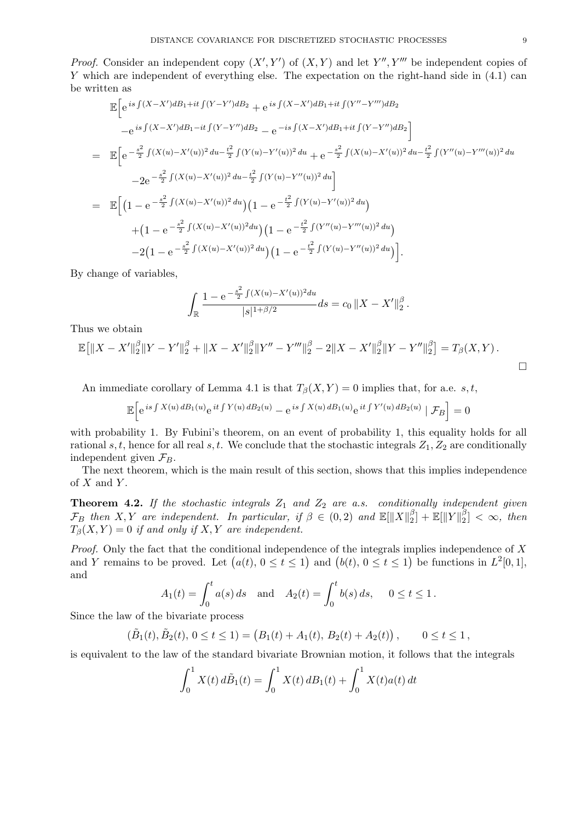*Proof.* Consider an independent copy  $(X', Y')$  of  $(X, Y)$  and let  $Y'', Y'''$  be independent copies of *Y* which are independent of everything else. The expectation on the right-hand side in  $(4.1)$  can be written as

$$
\mathbb{E}\Big[e^{is\int(X-X')dB_1+it\int(Y-Y')dB_2}+e^{is\int(X-X')dB_1+it\int(Y''-Y''')dB_2}\Big]-e^{is\int(X-X')dB_1-it\int(Y-Y'')dB_2}-e^{-is\int(X-X')dB_1+it\int(Y-Y'')dB_2}\Big]
$$
\n
$$
=\mathbb{E}\Big[e^{-\frac{s^2}{2}\int(X(u)-X'(u))^2du-\frac{t^2}{2}\int(Y(u)-Y'(u))^2du}+e^{-\frac{s^2}{2}\int(X(u)-X'(u))^2du-\frac{t^2}{2}\int(Y''(u)-Y'''(u))^2du}\Big]
$$
\n
$$
-2e^{-\frac{s^2}{2}\int(X(u)-X'(u))^2du-\frac{t^2}{2}\int(Y(u)-Y''(u))^2du}\Big]
$$
\n
$$
=\mathbb{E}\Big[\Big(1-e^{-\frac{s^2}{2}\int(X(u)-X'(u))^2du}\Big)\Big(1-e^{-\frac{t^2}{2}\int(Y(u)-Y'(u))^2du}\Big)
$$
\n
$$
+\Big(1-e^{-\frac{s^2}{2}\int(X(u)-X'(u))^2du}\Big)\Big(1-e^{-\frac{t^2}{2}\int(Y''(u)-Y'''(u))^2du}\Big)
$$
\n
$$
-2\Big(1-e^{-\frac{s^2}{2}\int(X(u)-X'(u))^2du}\Big)\Big(1-e^{-\frac{t^2}{2}\int(Y'(u)-Y''(u))^2du}\Big)\Big].
$$

By change of variables,

$$
\int_{\mathbb{R}} \frac{1 - e^{-\frac{s^2}{2} \int (X(u) - X'(u))^2 du}}{|s|^{1 + \beta/2}} ds = c_0 \|X - X'\|_2^{\beta}.
$$

Thus we obtain

$$
\mathbb{E}\big[\|X-X'\|_2^{\beta}\|Y-Y'\|_2^{\beta}+\|X-X'\|_2^{\beta}\|Y''-Y'''\|_2^{\beta}-2\|X-X'\|_2^{\beta}\|Y-Y''\|_2^{\beta}\big]=T_{\beta}(X,Y).
$$

An immediate corollary of Lemma 4.1 is that  $T_\beta(X, Y) = 0$  implies that, for a.e. *s, t*,

$$
\mathbb{E}\Big[e^{\,is\int X(u)\,dB_1(u)}e^{\,it\int Y(u)\,dB_2(u)}-e^{\,is\int X(u)\,dB_1(u)}e^{\,it\int Y'(u)\,dB_2(u)}\mid\mathcal{F}_B\Big]=0
$$

with probability 1. By Fubini's theorem, on an event of probability 1, this equality holds for all rational *s, t*, hence for all real *s, t*. We conclude that the stochastic integrals  $Z_1, Z_2$  are conditionally independent given  $\mathcal{F}_B$ .

The next theorem, which is the main result of this section, shows that this implies independence of *X* and *Y* .

**Theorem 4.2.** *If the stochastic integrals Z*<sup>1</sup> *and Z*<sup>2</sup> *are a.s. conditionally independent given*  $\mathcal{F}_B$  *then X,Y are independent. In particular, if*  $\beta \in (0,2)$  *and*  $\mathbb{E}[\|X\|_2^{\beta}]$  $\frac{\beta}{2}$ ] +  $\mathbb{E}[\|Y\|_2^{\beta}]$  $\binom{p}{2} < \infty$ , then  $T_{\beta}(X, Y) = 0$  *if and only if*  $X, Y$  *are independent.* 

*Proof.* Only the fact that the conditional independence of the integrals implies independence of *X* and *Y* remains to be proved. Let  $(a(t), 0 \le t \le 1)$  and  $(b(t), 0 \le t \le 1)$  be functions in  $L^2[0,1]$ , and

$$
A_1(t) = \int_0^t a(s) ds
$$
 and  $A_2(t) = \int_0^t b(s) ds$ ,  $0 \le t \le 1$ .

Since the law of the bivariate process

$$
(\tilde{B}_1(t), \tilde{B}_2(t), 0 \le t \le 1) = (B_1(t) + A_1(t), B_2(t) + A_2(t)), \qquad 0 \le t \le 1,
$$

is equivalent to the law of the standard bivariate Brownian motion, it follows that the integrals

$$
\int_0^1 X(t) d\tilde{B}_1(t) = \int_0^1 X(t) dB_1(t) + \int_0^1 X(t) a(t) dt
$$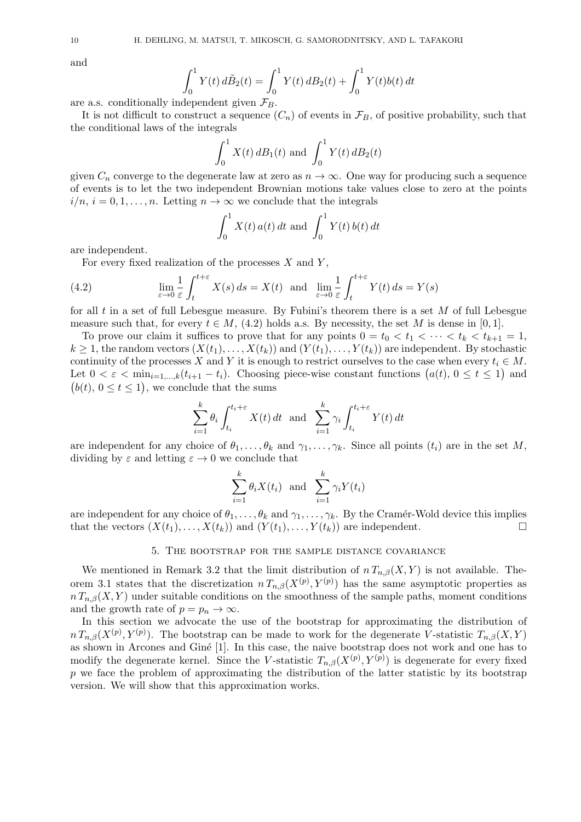and

$$
\int_0^1 Y(t) d\tilde{B}_2(t) = \int_0^1 Y(t) dB_2(t) + \int_0^1 Y(t)b(t) dt
$$

are a.s. conditionally independent given  $\mathcal{F}_B$ .

It is not difficult to construct a sequence  $(C_n)$  of events in  $\mathcal{F}_B$ , of positive probability, such that the conditional laws of the integrals

$$
\int_0^1 X(t) \, dB_1(t) \text{ and } \int_0^1 Y(t) \, dB_2(t)
$$

given  $C_n$  converge to the degenerate law at zero as  $n \to \infty$ . One way for producing such a sequence of events is to let the two independent Brownian motions take values close to zero at the points  $i/n, i = 0, 1, \ldots, n$ . Letting  $n \to \infty$  we conclude that the integrals

$$
\int_0^1 X(t) a(t) dt
$$
 and 
$$
\int_0^1 Y(t) b(t) dt
$$

are independent.

For every fixed realization of the processes *X* and *Y* ,

(4.2) 
$$
\lim_{\varepsilon \to 0} \frac{1}{\varepsilon} \int_{t}^{t+\varepsilon} X(s) ds = X(t) \text{ and } \lim_{\varepsilon \to 0} \frac{1}{\varepsilon} \int_{t}^{t+\varepsilon} Y(t) ds = Y(s)
$$

for all *t* in a set of full Lebesgue measure. By Fubini's theorem there is a set *M* of full Lebesgue measure such that, for every  $t \in M$ , (4.2) holds a.s. By necessity, the set M is dense in [0, 1].

To prove our claim it suffices to prove that for any points  $0 = t_0 < t_1 < \cdots < t_k < t_{k+1} = 1$ ,  $k \geq 1$ , the random vectors  $(X(t_1),...,X(t_k))$  and  $(Y(t_1),...,Y(t_k))$  are independent. By stochastic continuity of the processes *X* and *Y* it is enough to restrict ourselves to the case when every  $t_i \in M$ . Let  $0 < \varepsilon < \min_{i=1,\dots,k} (t_{i+1} - t_i)$ . Choosing piece-wise constant functions  $(a(t), 0 \le t \le 1)$  and  $(b(t), 0 \le t \le 1)$ , we conclude that the sums

$$
\sum_{i=1}^{k} \theta_i \int_{t_i}^{t_i+\varepsilon} X(t) dt \text{ and } \sum_{i=1}^{k} \gamma_i \int_{t_i}^{t_i+\varepsilon} Y(t) dt
$$

are independent for any choice of  $\theta_1, \ldots, \theta_k$  and  $\gamma_1, \ldots, \gamma_k$ . Since all points  $(t_i)$  are in the set *M*, dividing by  $\varepsilon$  and letting  $\varepsilon \to 0$  we conclude that

$$
\sum_{i=1}^{k} \theta_i X(t_i) \text{ and } \sum_{i=1}^{k} \gamma_i Y(t_i)
$$

are independent for any choice of  $\theta_1, \ldots, \theta_k$  and  $\gamma_1, \ldots, \gamma_k$ . By the Cramér-Wold device this implies that the vectors  $(X(t_1),...,X(t_k))$  and  $(Y(t_1),...,Y(t_k))$  are independent. □

# 5. The bootstrap for the sample distance covariance

We mentioned in Remark 3.2 that the limit distribution of  $n T_{n,\beta}(X, Y)$  is not available. Theorem 3.1 states that the discretization  $n T_{n,\beta}(X^{(p)}, Y^{(p)})$  has the same asymptotic properties as  $n T_{n,\beta}(X, Y)$  under suitable conditions on the smoothness of the sample paths, moment conditions and the growth rate of  $p = p_n \to \infty$ .

In this section we advocate the use of the bootstrap for approximating the distribution of  $n T_{n,\beta}(X^{(p)}, Y^{(p)})$ . The bootstrap can be made to work for the degenerate *V*-statistic  $T_{n,\beta}(X, Y)$ as shown in Arcones and Giné [1]. In this case, the naive bootstrap does not work and one has to modify the degenerate kernel. Since the *V*-statistic  $T_{n,\beta}(X^{(p)}, Y^{(p)})$  is degenerate for every fixed p we face the problem of approximating the distribution of the latter statistic by its bootstrap version. We will show that this approximation works.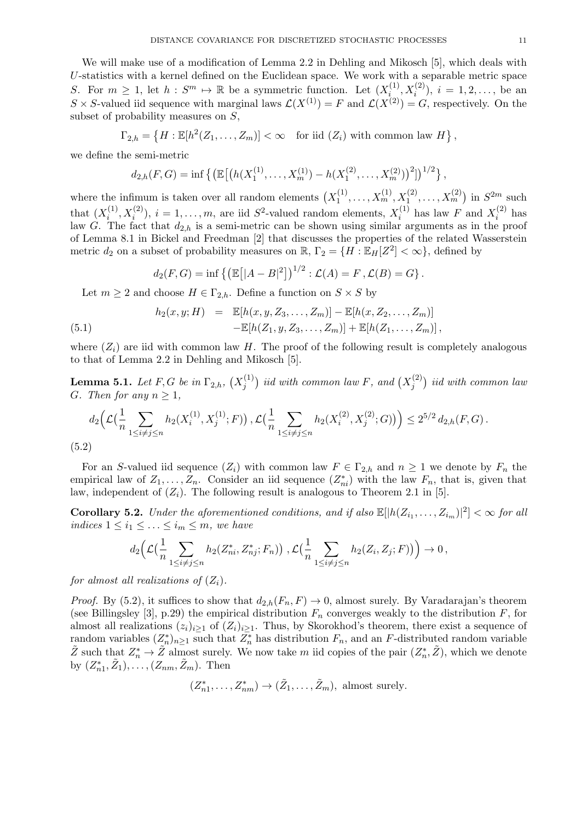We will make use of a modification of Lemma 2.2 in Dehling and Mikosch [5], which deals with *U*-statistics with a kernel defined on the Euclidean space. We work with a separable metric space *S*. For  $m \geq 1$ , let  $h : S^m \mapsto \mathbb{R}$  be a symmetric function. Let  $(X_i^{(1)}$  $i^{(1)}$ ,  $X_i^{(2)}$ ),  $i = 1, 2, \ldots$ , be an  $S \times S$ -valued iid sequence with marginal laws  $\mathcal{L}(X^{(1)}) = F$  and  $\mathcal{L}(X^{(2)}) = G$ , respectively. On the subset of probability measures on *S*,

$$
\Gamma_{2,h} = \left\{ H : \mathbb{E}[h^2(Z_1,\ldots,Z_m)] < \infty \quad \text{for iid } (Z_i) \text{ with common law } H \right\},
$$

we define the semi-metric

$$
d_{2,h}(F,G) = \inf \left\{ \left( \mathbb{E} \left[ \left( h(X_1^{(1)}, \ldots, X_m^{(1)}) - h(X_1^{(2)}, \ldots, X_m^{(2)}) \right)^2 \right] \right)^{1/2} \right\},\right\}
$$

where the infimum is taken over all random elements  $(X_1^{(1)})$  $X_1^{(1)}, \ldots, X_m^{(1)}, X_1^{(2)}, \ldots, X_m^{(2)}$  in  $S^{2m}$  such that  $(X_i^{(1)}$  $\mathbf{x}_i^{(1)}, \mathbf{x}_i^{(2)}$ ,  $i = 1, \ldots, m$ , are iid *S*<sup>2</sup>-valued random elements,  $X_i^{(1)}$  $Y_i^{(1)}$  has law *F* and  $X_i^{(2)}$  $i^{(2)}$  has law *G*. The fact that  $d_{2,h}$  is a semi-metric can be shown using similar arguments as in the proof of Lemma 8.1 in Bickel and Freedman [2] that discusses the properties of the related Wasserstein metric  $d_2$  on a subset of probability measures on  $\mathbb{R}$ ,  $\Gamma_2 = \{H : \mathbb{E}_H[Z^2] < \infty\}$ , defined by

$$
d_2(F, G) = \inf \left\{ \left( \mathbb{E} \left[ |A - B|^2 \right] \right)^{1/2} : \mathcal{L}(A) = F, \mathcal{L}(B) = G \right\}.
$$

Let  $m \geq 2$  and choose  $H \in \Gamma_{2,h}$ . Define a function on  $S \times S$  by

(5.1) 
$$
h_2(x, y; H) = \mathbb{E}[h(x, y, Z_3, \dots, Z_m)] - \mathbb{E}[h(x, Z_2, \dots, Z_m)] - \mathbb{E}[h(Z_1, y, Z_3, \dots, Z_m)] + \mathbb{E}[h(Z_1, \dots, Z_m)],
$$

where  $(Z_i)$  are iid with common law *H*. The proof of the following result is completely analogous to that of Lemma 2.2 in Dehling and Mikosch [5].

 $\bf{Lemma \ 5.1.} \ \ Let \ F,G \ be \ in \ \Gamma_{2,h}, \ (X^{(1)}_i)$  $f_j^{(1)}$ ) *iid with common law F, and*  $(X_j^{(2)})$ *j* ) *iid with common law G. Then for any*  $n \geq 1$ *,* 

$$
d_2\Big(\mathcal{L}\big(\frac{1}{n}\sum_{1\leq i\neq j\leq n}h_2(X_i^{(1)},X_j^{(1)};F)\big),\mathcal{L}\big(\frac{1}{n}\sum_{1\leq i\neq j\leq n}h_2(X_i^{(2)},X_j^{(2)};G)\big)\Big)\leq 2^{5/2}d_{2,h}(F,G).
$$
\n(5.2)

For an *S*-valued iid sequence  $(Z_i)$  with common law  $F \in \Gamma_{2,h}$  and  $n \geq 1$  we denote by  $F_n$  the empirical law of  $Z_1, \ldots, Z_n$ . Consider an iid sequence  $(Z_{ni}^*)$  with the law  $F_n$ , that is, given that law, independent of  $(Z_i)$ . The following result is analogous to Theorem 2.1 in [5].

**Corollary 5.2.** *Under the aforementioned conditions, and if also*  $\mathbb{E}[|h(Z_{i_1},...,Z_{i_m})|^2] < \infty$  *for all indices*  $1 \leq i_1 \leq \ldots \leq i_m \leq m$ *, we have* 

$$
d_2\Big(\mathcal{L}\big(\frac{1}{n}\sum_{1\leq i\neq j\leq n}h_2(Z^*_{ni},Z^*_{nj};F_n)\big),\mathcal{L}\big(\frac{1}{n}\sum_{1\leq i\neq j\leq n}h_2(Z_i,Z_j;F)\big)\Big)\to 0\,,
$$

*for almost all realizations of*  $(Z_i)$ *.* 

*Proof.* By (5.2), it suffices to show that  $d_{2,h}(F_n, F) \to 0$ , almost surely. By Varadarajan's theorem (see Billingsley [3], p.29) the empirical distribution  $F_n$  converges weakly to the distribution  $F$ , for almost all realizations  $(z_i)_{i\geq 1}$  of  $(Z_i)_{i\geq 1}$ . Thus, by Skorokhod's theorem, there exist a sequence of random variables  $(Z_n^*)_{n\geq 1}$  such that  $Z_n^*$  has distribution  $F_n$ , and an  $F$ -distributed random variable  $\tilde{Z}$  such that  $Z_n^* \to \tilde{Z}$  almost surely. We now take *m* iid copies of the pair  $(Z_n^*, \tilde{Z})$ , which we denote  $\text{by } (Z_{n1}^*, \tilde{Z}_1), \ldots, (Z_{nm}, \tilde{Z}_m).$  Then

$$
(Z_{n1}^*,..., Z_{nm}^*) \to (\tilde{Z}_1,...,\tilde{Z}_m)
$$
, almost surely.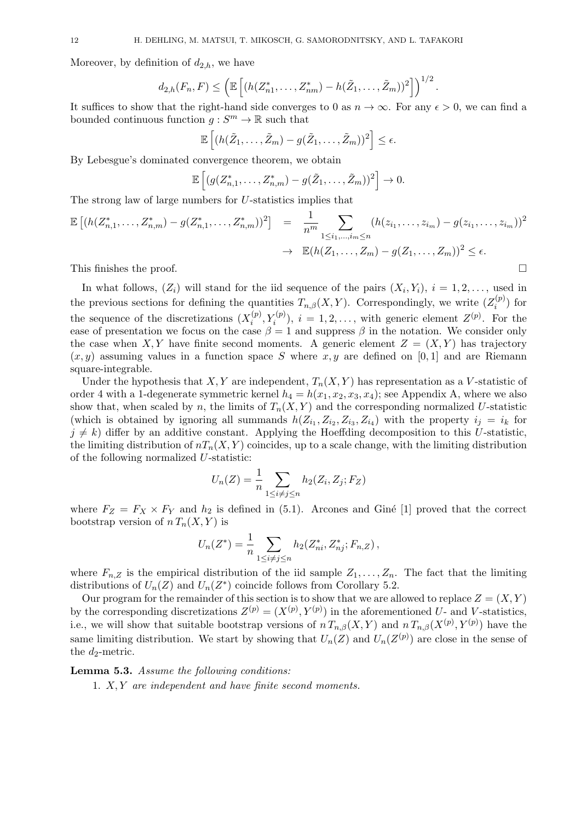Moreover, by definition of  $d_{2,h}$ , we have

$$
d_{2,h}(F_n, F) \leq \left( \mathbb{E} \left[ (h(Z_{n1}^*, \ldots, Z_{nm}^*) - h(\tilde{Z}_1, \ldots, \tilde{Z}_m))^2 \right] \right)^{1/2}.
$$

It suffices to show that the right-hand side converges to 0 as  $n \to \infty$ . For any  $\epsilon > 0$ , we can find a bounded continuous function  $g: S^m \to \mathbb{R}$  such that

$$
\mathbb{E}\left[ (h(\tilde{Z}_1,\ldots,\tilde{Z}_m)-g(\tilde{Z}_1,\ldots,\tilde{Z}_m))^2\right]\leq \epsilon.
$$

By Lebesgue's dominated convergence theorem, we obtain

$$
\mathbb{E}\left[ (g(Z_{n,1}^*,\ldots,Z_{n,m}^*)-g(\tilde{Z}_1,\ldots,\tilde{Z}_m))^2\right]\to 0.
$$

The strong law of large numbers for *U*-statistics implies that

$$
\mathbb{E} [(h(Z_{n,1}^*,...,Z_{n,m}^*) - g(Z_{n,1}^*,...,Z_{n,m}^*))^2] = \frac{1}{n^m} \sum_{1 \le i_1,...,i_m \le n} (h(z_{i_1},...,z_{i_m}) - g(z_{i_1},...,z_{i_m}))^2
$$
  

$$
\to \mathbb{E} (h(Z_1,...,Z_m) - g(Z_1,...,Z_m))^2 \le \epsilon.
$$

This finishes the proof. □

In what follows,  $(Z_i)$  will stand for the iid sequence of the pairs  $(X_i, Y_i)$ ,  $i = 1, 2, \ldots$ , used in the previous sections for defining the quantities  $T_{n,\beta}(X,Y)$ . Correspondingly, we write  $(Z_i^{(p)})$  $\binom{p}{i}$  for the sequence of the discretizations  $(X_i^{(p)})$  $\mathcal{I}_i^{(p)}, Y_i^{(p)}$ ,  $i = 1, 2, \ldots$ , with generic element  $Z^{(p)}$ . For the ease of presentation we focus on the case  $\beta = 1$  and suppress  $\beta$  in the notation. We consider only the case when *X,Y* have finite second moments. A generic element  $Z = (X, Y)$  has trajectory  $(x, y)$  assuming values in a function space *S* where  $x, y$  are defined on [0, 1] and are Riemann square-integrable.

Under the hypothesis that *X, Y* are independent,  $T_n(X, Y)$  has representation as a *V*-statistic of order 4 with a 1-degenerate symmetric kernel  $h_4 = h(x_1, x_2, x_3, x_4)$ ; see Appendix A, where we also show that, when scaled by *n*, the limits of  $T_n(X, Y)$  and the corresponding normalized U-statistic (which is obtained by ignoring all summands  $h(Z_{i_1}, Z_{i_2}, Z_{i_3}, Z_{i_4})$  with the property  $i_j = i_k$  for  $j \neq k$ ) differ by an additive constant. Applying the Hoeffding decomposition to this *U*-statistic, the limiting distribution of  $nT_n(X, Y)$  coincides, up to a scale change, with the limiting distribution of the following normalized *U*-statistic:

$$
U_n(Z) = \frac{1}{n} \sum_{1 \le i \ne j \le n} h_2(Z_i, Z_j; F_Z)
$$

where  $F_Z = F_X \times F_Y$  and  $h_2$  is defined in (5.1). Arcones and Giné [1] proved that the correct bootstrap version of  $n T_n(X, Y)$  is

$$
U_n(Z^*) = \frac{1}{n} \sum_{1 \le i \ne j \le n} h_2(Z_{ni}^*, Z_{nj}^*; F_{n,Z}),
$$

where  $F_{n,Z}$  is the empirical distribution of the iid sample  $Z_1, \ldots, Z_n$ . The fact that the limiting distributions of  $U_n(Z)$  and  $U_n(Z^*)$  coincide follows from Corollary 5.2.

Our program for the remainder of this section is to show that we are allowed to replace  $Z = (X, Y)$ by the corresponding discretizations  $Z^{(p)} = (X^{(p)}, Y^{(p)})$  in the aforementioned *U*- and *V*-statistics, i.e., we will show that suitable bootstrap versions of  $n T_{n,\beta}(X,Y)$  and  $n T_{n,\beta}(X^{(p)},Y^{(p)})$  have the same limiting distribution. We start by showing that  $U_n(Z)$  and  $U_n(Z^{(p)})$  are close in the sense of the  $d_2$ -metric.

#### **Lemma 5.3.** *Assume the following conditions:*

1. *X, Y are independent and have finite second moments.*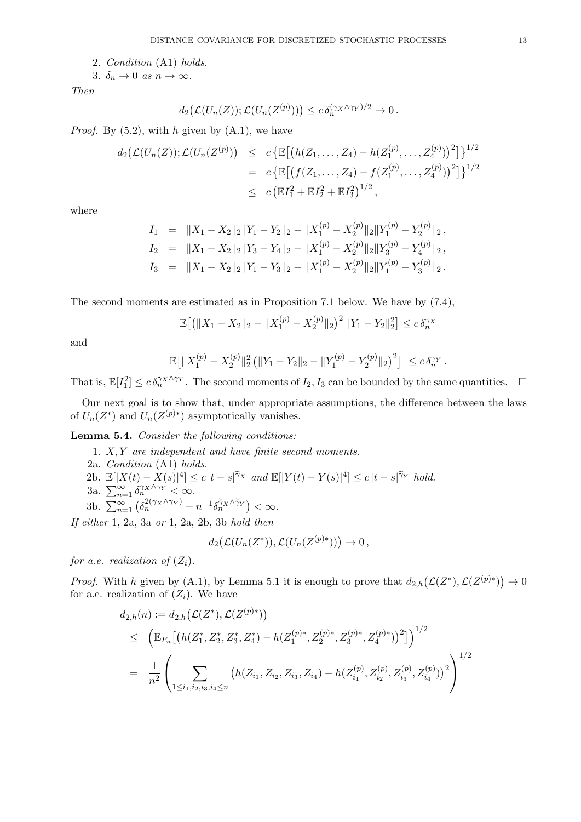2. *Condition* (A1) *holds.*

3.  $\delta_n \to 0$  *as*  $n \to \infty$ .

*Then*

$$
d_2(\mathcal{L}(U_n(Z)); \mathcal{L}(U_n(Z^{(p)}))) \leq c \,\delta_n^{(\gamma_X \wedge \gamma_Y)/2} \to 0\,.
$$

*Proof.* By (5.2), with *h* given by (A.1), we have

$$
d_2(\mathcal{L}(U_n(Z)); \mathcal{L}(U_n(Z^{(p)})) \leq c \{\mathbb{E}[(h(Z_1, ..., Z_4) - h(Z_1^{(p)}, ..., Z_4^{(p)}))^2]\}^{1/2}
$$
  
=  $c \{\mathbb{E}[(f(Z_1, ..., Z_4) - f(Z_1^{(p)}, ..., Z_4^{(p)}))^2]\}^{1/2}$   
 $\leq c (\mathbb{E}I_1^2 + \mathbb{E}I_2^2 + \mathbb{E}I_3^2)^{1/2},$ 

where

$$
I_1 = \|X_1 - X_2\|_2 \|Y_1 - Y_2\|_2 - \|X_1^{(p)} - X_2^{(p)}\|_2 \|Y_1^{(p)} - Y_2^{(p)}\|_2 ,
$$
  
\n
$$
I_2 = \|X_1 - X_2\|_2 \|Y_3 - Y_4\|_2 - \|X_1^{(p)} - X_2^{(p)}\|_2 \|Y_3^{(p)} - Y_4^{(p)}\|_2 ,
$$
  
\n
$$
I_3 = \|X_1 - X_2\|_2 \|Y_1 - Y_3\|_2 - \|X_1^{(p)} - X_2^{(p)}\|_2 \|Y_1^{(p)} - Y_3^{(p)}\|_2 .
$$

The second moments are estimated as in Proposition 7.1 below. We have by (7.4),

$$
\mathbb{E}\big[\big(\|X_1 - X_2\|_2 - \|X_1^{(p)} - X_2^{(p)}\|_2\big)^2 \|Y_1 - Y_2\|_2^2\big] \le c \,\delta_n^{\gamma_X}
$$

and

$$
\mathbb{E}\big[\|X_1^{(p)} - X_2^{(p)}\|_2^2 \left(\|Y_1 - Y_2\|_2 - \|Y_1^{(p)} - Y_2^{(p)}\|_2\right)^2\big] \leq c \,\delta_n^{\gamma_Y}.
$$

That is,  $\mathbb{E}[I_1^2] \leq c \, \delta_n^{\gamma_X \wedge \gamma_Y}$ . The second moments of  $I_2, I_3$  can be bounded by the same quantities.  $\Box$ 

Our next goal is to show that, under appropriate assumptions, the difference between the laws of  $U_n(Z^*)$  and  $U_n(Z^{(p)*})$  asymptotically vanishes.

**Lemma 5.4.** *Consider the following conditions:*

1. *X, Y are independent and have finite second moments.* 2a. *Condition* (A1) *holds.* 2b.  $\mathbb{E}[|X(t) - X(s)|^4] \le c |t - s|^{\widetilde{\gamma}_X}$  and  $\mathbb{E}[|Y(t) - Y(s)|^4] \le c |t - s|^{\widetilde{\gamma}_Y}$  hold. 3a.  $\sum_{n=1}^{\infty} \delta_n^{\gamma_X \wedge \gamma_Y} < \infty$ . 3b.  $\sum_{n=1}^{\infty} \left( \delta_n^{2(\gamma_X \wedge \gamma_Y)} + n^{-1} \delta_n^{\gamma_X \wedge \gamma_Y} \right) < \infty.$ *If either* 1, 2a, 3a *or* 1, 2a, 2b, 3b *hold then*

 $d_2(\mathcal{L}(U_n(Z^*)) , \mathcal{L}(U_n(Z^{(p)*}))) \to 0$ 

*for a.e. realization of*  $(Z_i)$ *.* 

*Proof.* With *h* given by (A.1), by Lemma 5.1 it is enough to prove that  $d_{2,h}(\mathcal{L}(Z^*), \mathcal{L}(Z^{(p)*})) \to 0$ for a.e. realization of  $(Z_i)$ . We have

$$
d_{2,h}(n) := d_{2,h}(\mathcal{L}(Z^*), \mathcal{L}(Z^{(p)*}))
$$
  
\n
$$
\leq \left( \mathbb{E}_{F_n} \left[ \left( h(Z_1^*, Z_2^*, Z_3^*, Z_4^*) - h(Z_1^{(p)*}, Z_2^{(p)*}, Z_3^{(p)*}, Z_4^{(p)*}) \right)^2 \right] \right)^{1/2}
$$
  
\n
$$
= \frac{1}{n^2} \left( \sum_{1 \leq i_1, i_2, i_3, i_4 \leq n} \left( h(Z_{i_1}, Z_{i_2}, Z_{i_3}, Z_{i_4}) - h(Z_{i_1}^{(p)}, Z_{i_2}^{(p)}, Z_{i_3}^{(p)}, Z_{i_4}^{(p)}) \right)^2 \right)^{1/2}
$$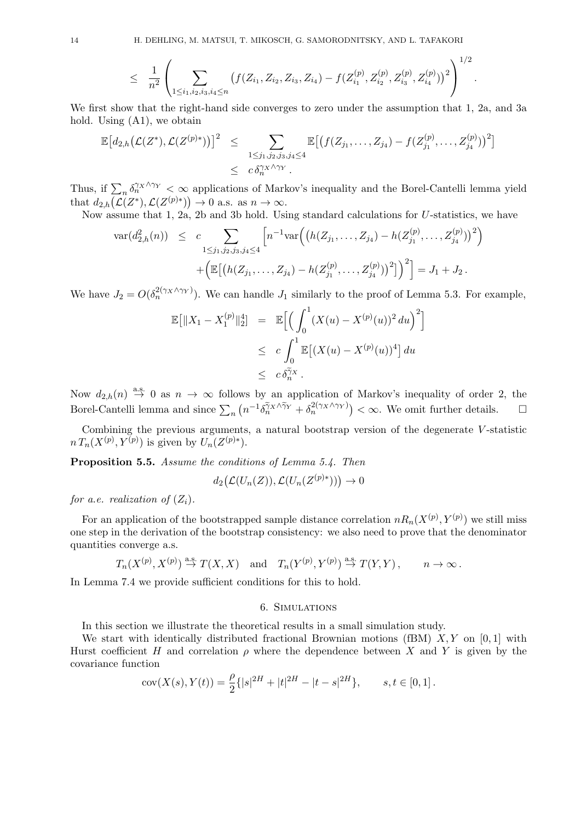$$
\leq \frac{1}{n^2} \left( \sum_{1 \leq i_1, i_2, i_3, i_4 \leq n} \left( f(Z_{i_1}, Z_{i_2}, Z_{i_3}, Z_{i_4}) - f(Z_{i_1}^{(p)}, Z_{i_2}^{(p)}, Z_{i_3}^{(p)}, Z_{i_4}^{(p)}) \right)^2 \right)^{1/2}.
$$

We first show that the right-hand side converges to zero under the assumption that 1, 2a, and 3a hold. Using (A1), we obtain

$$
\mathbb{E}[d_{2,h}(\mathcal{L}(Z^*), \mathcal{L}(Z^{(p)*}))]^2 \leq \sum_{\substack{1 \leq j_1, j_2, j_3, j_4 \leq 4}} \mathbb{E}[(f(Z_{j_1}, \dots, Z_{j_4}) - f(Z_{j_1}^{(p)}, \dots, Z_{j_4}^{(p)}))^2] \leq c \delta_n^{\gamma_X \wedge \gamma_Y}.
$$

Thus, if  $\sum_n \delta_n^{\gamma_X \wedge \gamma_Y} < \infty$  applications of Markov's inequality and the Borel-Cantelli lemma yield that  $d_{2,h}(\mathcal{L}(Z^*), \mathcal{L}(Z^{(p)*})) \to 0$  a.s. as  $n \to \infty$ .

Now assume that 1, 2a, 2b and 3b hold. Using standard calculations for *U*-statistics, we have

$$
\operatorname{var}(d_{2,h}^{2}(n)) \leq c \sum_{1 \leq j_1, j_2, j_3, j_4 \leq 4} \left[ n^{-1} \operatorname{var} \left( \left( h(Z_{j_1}, \ldots, Z_{j_4}) - h(Z_{j_1}^{(p)}, \ldots, Z_{j_4}^{(p)}) \right)^2 \right) + \left( \mathbb{E} \left[ \left( h(Z_{j_1}, \ldots, Z_{j_4}) - h(Z_{j_1}^{(p)}, \ldots, Z_{j_4}^{(p)}) \right)^2 \right] \right)^2 \right] = J_1 + J_2.
$$

We have  $J_2 = O(\delta_n^{2(\gamma_X \wedge \gamma_Y)})$ . We can handle  $J_1$  similarly to the proof of Lemma 5.3. For example,

$$
\mathbb{E}[||X_1 - X_1^{(p)}||_2^4] = \mathbb{E}\Big[\Big(\int_0^1 (X(u) - X^{(p)}(u))^2 du\Big)^2\Big] \leq c \int_0^1 \mathbb{E}[(X(u) - X^{(p)}(u))^4] du \leq c \delta_n^{\gamma_X}.
$$

Now  $d_{2,h}(n) \stackrel{\text{a.s.}}{\rightarrow} 0$  as  $n \rightarrow \infty$  follows by an application of Markov's inequality of order 2, the Borel-Cantelli lemma and since  $\sum_{n} (n^{-1} \delta_n^{\tilde{\gamma}_X \wedge \tilde{\gamma}_Y} + \delta_n^{2(\gamma_X \wedge \gamma_Y)}) < \infty$ . We omit further details.

Combining the previous arguments, a natural bootstrap version of the degenerate *V* -statistic  $n T_n(X^{(p)}, Y^{(p)})$  is given by  $U_n(Z^{(p)*})$ .

**Proposition 5.5.** *Assume the conditions of Lemma 5.4. Then*

$$
d_2\big(\mathcal{L}(U_n(Z)),\mathcal{L}(U_n(Z^{(p)*}))\big)\to 0
$$

*for a.e. realization of*  $(Z_i)$ *.* 

For an application of the bootstrapped sample distance correlation  $nR_n(X^{(p)}, Y^{(p)})$  we still miss one step in the derivation of the bootstrap consistency: we also need to prove that the denominator quantities converge a.s.

$$
T_n(X^{(p)}, X^{(p)}) \stackrel{\text{a.s.}}{\to} T(X, X)
$$
 and  $T_n(Y^{(p)}, Y^{(p)}) \stackrel{\text{a.s.}}{\to} T(Y, Y)$ ,  $n \to \infty$ .

In Lemma 7.4 we provide sufficient conditions for this to hold.

### 6. Simulations

In this section we illustrate the theoretical results in a small simulation study.

We start with identically distributed fractional Brownian motions (fBM) *X, Y* on [0*,* 1] with Hurst coefficient *H* and correlation  $\rho$  where the dependence between X and Y is given by the covariance function

$$
cov(X(s), Y(t)) = \frac{\rho}{2} \{ |s|^{2H} + |t|^{2H} - |t - s|^{2H} \}, \qquad s, t \in [0, 1].
$$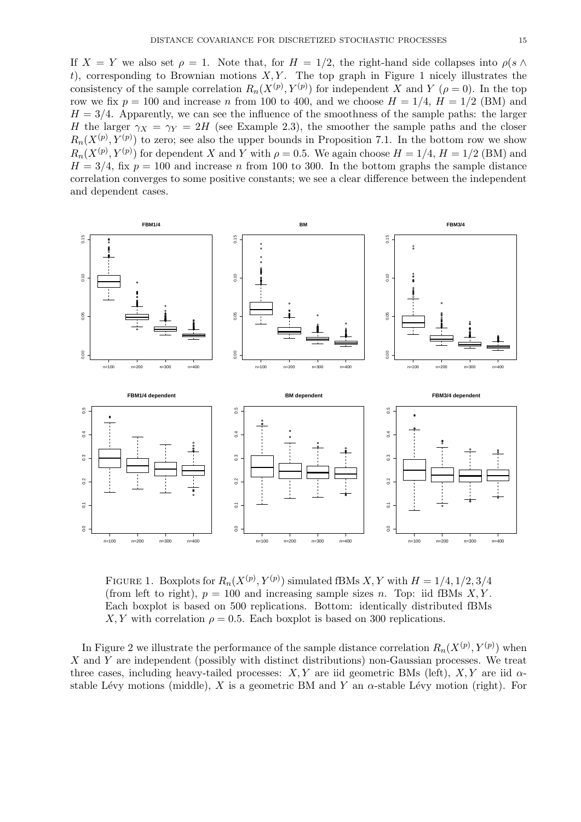If  $X = Y$  we also set  $\rho = 1$ . Note that, for  $H = 1/2$ , the right-hand side collapses into  $\rho(s \wedge \theta)$  $t$ ), corresponding to Brownian motions  $X, Y$ . The top graph in Figure 1 nicely illustrates the consistency of the sample correlation  $R_n(X^{(p)}, Y^{(p)})$  for independent *X* and *Y* ( $\rho = 0$ ). In the top row we fix  $p = 100$  and increase *n* from 100 to 400, and we choose  $H = 1/4$ ,  $H = 1/2$  (BM) and  $H = 3/4$ . Apparently, we can see the influence of the smoothness of the sample paths: the larger *H* the larger  $\gamma_X = \gamma_Y = 2H$  (see Example 2.3), the smoother the sample paths and the closer  $R_n(X^{(p)}, Y^{(p)})$  to zero; see also the upper bounds in Proposition 7.1. In the bottom row we show  $R_n(X^{(p)}, Y^{(p)})$  for dependent *X* and *Y* with  $\rho = 0.5$ . We again choose  $H = 1/4$ ,  $H = 1/2$  (BM) and  $H = 3/4$ , fix  $p = 100$  and increase *n* from 100 to 300. In the bottom graphs the sample distance correlation converges to some positive constants; we see a clear difference between the independent and dependent cases.



FIGURE 1. Boxplots for  $R_n(X^{(p)}, Y^{(p)})$  simulated fBMs  $X, Y$  with  $H = 1/4, 1/2, 3/4$ (from left to right),  $p = 100$  and increasing sample sizes *n*. Top: iid fBMs *X,Y*. Each boxplot is based on 500 replications. Bottom: identically distributed fBMs *X, Y* with correlation  $\rho = 0.5$ . Each boxplot is based on 300 replications.

In Figure 2 we illustrate the performance of the sample distance correlation  $R_n(X^{(p)}, Y^{(p)})$  when *X* and *Y* are independent (possibly with distinct distributions) non-Gaussian processes. We treat three cases, including heavy-tailed processes:  $X, Y$  are iid geometric BMs (left),  $X, Y$  are iid  $\alpha$ stable Lévy motions (middle), *X* is a geometric BM and *Y* an  $\alpha$ -stable Lévy motion (right). For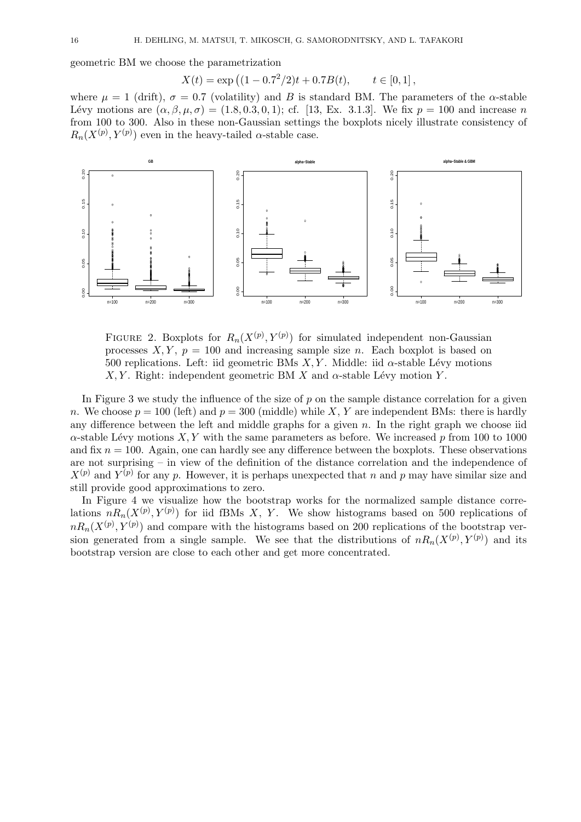geometric BM we choose the parametrization

$$
X(t) = \exp\left((1 - 0.7^2/2)t + 0.7B(t), \quad t \in [0, 1],\right)
$$

where  $\mu = 1$  (drift),  $\sigma = 0.7$  (volatility) and *B* is standard BM. The parameters of the *α*-stable Lévy motions are  $(\alpha, \beta, \mu, \sigma) = (1.8, 0.3, 0.1);$  cf. [13, Ex. 3.1.3]. We fix  $p = 100$  and increase *n* from 100 to 300. Also in these non-Gaussian settings the boxplots nicely illustrate consistency of  $R_n(X^{(p)}, Y^{(p)})$  even in the heavy-tailed *α*-stable case.



FIGURE 2. Boxplots for  $R_n(X^{(p)}, Y^{(p)})$  for simulated independent non-Gaussian processes  $X, Y, p = 100$  and increasing sample size *n*. Each boxplot is based on 500 replications. Left: iid geometric BMs  $X, Y$ . Middle: iid  $\alpha$ -stable Lévy motions *X, Y* . Right: independent geometric BM *X* and  $\alpha$ -stable Lévy motion *Y*.

In Figure 3 we study the influence of the size of p on the sample distance correlation for a given *n*. We choose  $p = 100$  (left) and  $p = 300$  (middle) while *X*, *Y* are independent BMs: there is hardly any difference between the left and middle graphs for a given *n*. In the right graph we choose iid  $\alpha$ -stable Lévy motions *X, Y* with the same parameters as before. We increased *p* from 100 to 1000 and fix  $n = 100$ . Again, one can hardly see any difference between the boxplots. These observations are not surprising – in view of the definition of the distance correlation and the independence of  $X^{(p)}$  and  $Y^{(p)}$  for any *p*. However, it is perhaps unexpected that *n* and *p* may have similar size and still provide good approximations to zero.

In Figure 4 we visualize how the bootstrap works for the normalized sample distance correlations  $nR_n(X^{(p)}, Y^{(p)})$  for iid fBMs *X*, *Y*. We show histograms based on 500 replications of  $nR_n(X^{(p)}, Y^{(p)})$  and compare with the histograms based on 200 replications of the bootstrap version generated from a single sample. We see that the distributions of  $nR_n(X^{(p)}, Y^{(p)})$  and its bootstrap version are close to each other and get more concentrated.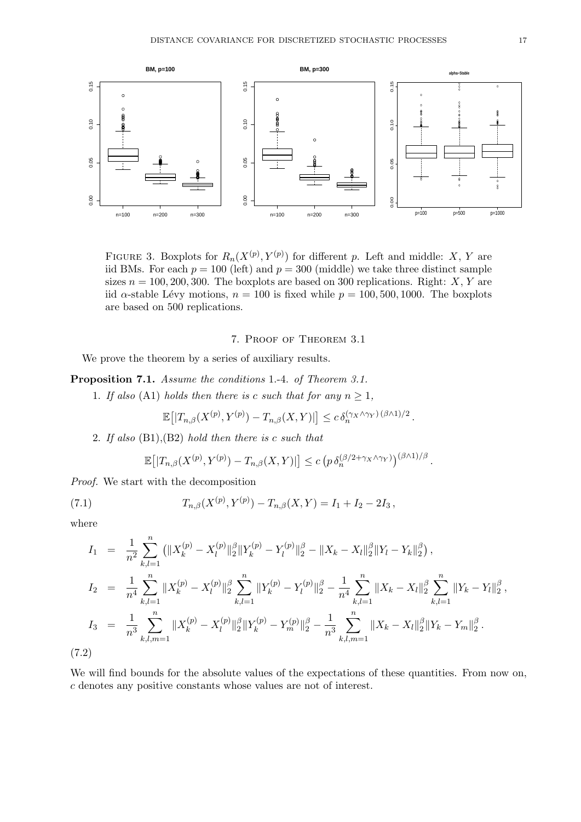

FIGURE 3. Boxplots for  $R_n(X^{(p)}, Y^{(p)})$  for different p. Left and middle: X, Y are iid BMs. For each  $p = 100$  (left) and  $p = 300$  (middle) we take three distinct sample sizes  $n = 100, 200, 300$ . The boxplots are based on 300 replications. Right: *X*, *Y* are iid *α*-stable Lévy motions,  $n = 100$  is fixed while  $p = 100, 500, 1000$ . The boxplots are based on 500 replications.

# 7. Proof of Theorem 3.1

We prove the theorem by a series of auxiliary results.

**Proposition 7.1.** *Assume the conditions* 1.-4. *of Theorem 3.1.*

1. If also (A1) holds then there is c such that for any  $n \geq 1$ ,

$$
\mathbb{E}\big[|T_{n,\beta}(X^{(p)},Y^{(p)}) - T_{n,\beta}(X,Y)|\big] \leq c \,\delta_n^{(\gamma_X \wedge \gamma_Y) \,(\beta \wedge 1)/2} \,.
$$

2. *If also* (B1),(B2) *hold then there is c such that*

$$
\mathbb{E}\big[|T_{n,\beta}(X^{(p)},Y^{(p)}) - T_{n,\beta}(X,Y)|\big] \le c \left(p \,\delta_n^{(\beta/2 + \gamma_X \wedge \gamma_Y)}\right)^{(\beta \wedge 1)/\beta}.
$$

*Proof.* We start with the decomposition

(7.1) 
$$
T_{n,\beta}(X^{(p)}, Y^{(p)}) - T_{n,\beta}(X, Y) = I_1 + I_2 - 2I_3,
$$

where

$$
I_{1} = \frac{1}{n^{2}} \sum_{k,l=1}^{n} (||X_{k}^{(p)} - X_{l}^{(p)}||_{2}^{\beta}||Y_{k}^{(p)} - Y_{l}^{(p)}||_{2}^{\beta} - ||X_{k} - X_{l}||_{2}^{\beta}||Y_{l} - Y_{k}||_{2}^{\beta}),
$$
  
\n
$$
I_{2} = \frac{1}{n^{4}} \sum_{k,l=1}^{n} ||X_{k}^{(p)} - X_{l}^{(p)}||_{2}^{\beta} \sum_{k,l=1}^{n} ||Y_{k}^{(p)} - Y_{l}^{(p)}||_{2}^{\beta} - \frac{1}{n^{4}} \sum_{k,l=1}^{n} ||X_{k} - X_{l}||_{2}^{\beta} \sum_{k,l=1}^{n} ||Y_{k} - Y_{l}||_{2}^{\beta},
$$
  
\n
$$
I_{3} = \frac{1}{n^{3}} \sum_{k,l,m=1}^{n} ||X_{k}^{(p)} - X_{l}^{(p)}||_{2}^{\beta}||Y_{k}^{(p)} - Y_{m}^{(p)}||_{2}^{\beta} - \frac{1}{n^{3}} \sum_{k,l,m=1}^{n} ||X_{k} - X_{l}||_{2}^{\beta}||Y_{k} - Y_{m}||_{2}^{\beta}.
$$
  
\n(7.2)

We will find bounds for the absolute values of the expectations of these quantities. From now on, *c* denotes any positive constants whose values are not of interest.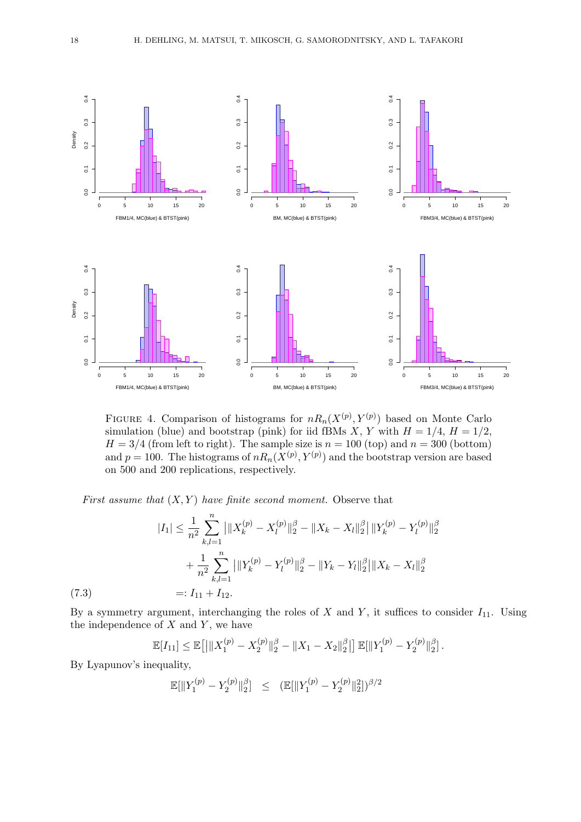

FIGURE 4. Comparison of histograms for  $nR_n(X^{(p)}, Y^{(p)})$  based on Monte Carlo simulation (blue) and bootstrap (pink) for iid fBMs *X*, *Y* with  $H = 1/4$ ,  $H = 1/2$ ,  $H = 3/4$  (from left to right). The sample size is  $n = 100$  (top) and  $n = 300$  (bottom) and  $p = 100$ . The histograms of  $nR_n(X^{(p)}, Y^{(p)})$  and the bootstrap version are based on 500 and 200 replications, respectively.

*First assume that* (*X, Y* ) *have finite second moment.* Observe that

$$
|I_{1}| \leq \frac{1}{n^{2}} \sum_{k,l=1}^{n} \left| \|X_{k}^{(p)} - X_{l}^{(p)}\|_{2}^{\beta} - \|X_{k} - X_{l}\|_{2}^{\beta} \right| \|Y_{k}^{(p)} - Y_{l}^{(p)}\|_{2}^{\beta}
$$

$$
+ \frac{1}{n^{2}} \sum_{k,l=1}^{n} \left| \|Y_{k}^{(p)} - Y_{l}^{(p)}\|_{2}^{\beta} - \|Y_{k} - Y_{l}\|_{2}^{\beta} \right| \|X_{k} - X_{l}\|_{2}^{\beta}
$$

$$
=: I_{11} + I_{12}.
$$

 $(7.3)$ 

By a symmetry argument, interchanging the roles of  $X$  and  $Y$ , it suffices to consider  $I_{11}$ . Using the independence of *X* and *Y* , we have

$$
\mathbb{E}[I_{11}] \leq \mathbb{E}\big[\big|\|X_1^{(p)} - X_2^{(p)}\|_2^{\beta} - \|X_1 - X_2\|_2^{\beta}\big|\big] \,\mathbb{E}[\|Y_1^{(p)} - Y_2^{(p)}\|_2^{\beta}].
$$

By Lyapunov's inequality,

$$
\mathbb{E}[\|Y_1^{(p)} - Y_2^{(p)}\|_2^{\beta}] \leq (\mathbb{E}[\|Y_1^{(p)} - Y_2^{(p)}\|_2^2])^{\beta/2}
$$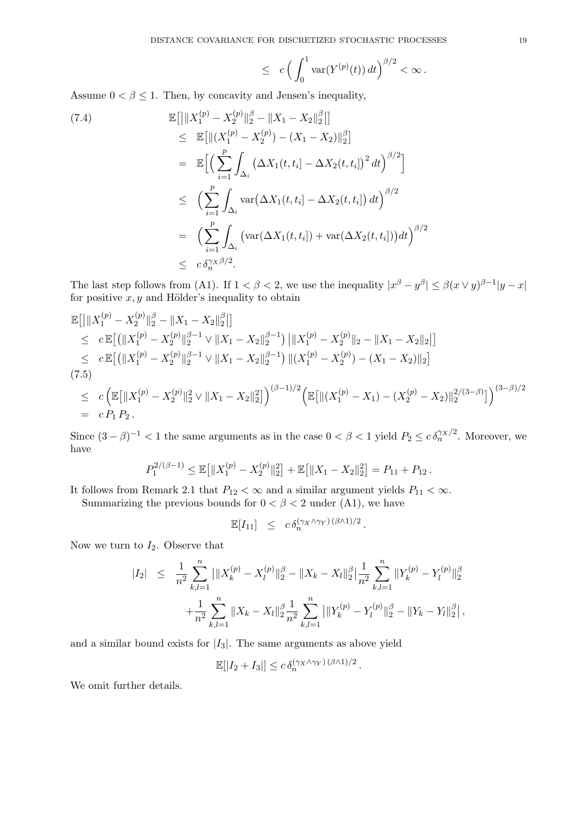$$
\leq c \left( \int_0^1 \mathrm{var}(Y^{(p)}(t)) \, dt \right)^{\beta/2} < \infty \, .
$$

Assume  $0 < \beta \leq 1$ . Then, by concavity and Jensen's inequality,

(7.4)  
\n
$$
\mathbb{E}\left[\left\|X_1^{(p)} - X_2^{(p)}\right\|_2^{\beta} - \left\|X_1 - X_2\right\|_2^{\beta}\right]\right]
$$
\n
$$
\leq \mathbb{E}\left[\left\|(X_1^{(p)} - X_2^{(p)}) - (X_1 - X_2)\right\|_2^{\beta}\right]
$$
\n
$$
= \mathbb{E}\left[\left(\sum_{i=1}^p \int_{\Delta_i} \left(\Delta X_1(t, t_i) - \Delta X_2(t, t_i)\right)^2 dt\right)^{\beta/2}\right]
$$
\n
$$
\leq \left(\sum_{i=1}^p \int_{\Delta_i} \text{var}\left(\Delta X_1(t, t_i) - \Delta X_2(t, t_i)\right) dt\right)^{\beta/2}
$$
\n
$$
= \left(\sum_{i=1}^p \int_{\Delta_i} \left(\text{var}(\Delta X_1(t, t_i)) + \text{var}(\Delta X_2(t, t_i))\right) dt\right)^{\beta/2}
$$
\n
$$
\leq c \delta_n^{\gamma_X \beta/2}.
$$

The last step follows from (A1). If  $1 < \beta < 2$ , we use the inequality  $|x^{\beta} - y^{\beta}| \leq \beta(x \vee y)^{\beta - 1}|y - x|$ for positive  $x, y$  and Hölder's inequality to obtain

$$
\mathbb{E}\left[\left|\|X_1^{(p)} - X_2^{(p)}\|_2^{\beta} - \|X_1 - X_2\|_2^{\beta}\right|\right] \n\leq c \mathbb{E}\left[\left(\|X_1^{(p)} - X_2^{(p)}\|_2^{\beta - 1} \vee \|X_1 - X_2\|_2^{\beta - 1}\right) \left|\|X_1^{(p)} - X_2^{(p)}\|_2 - \|X_1 - X_2\|_2\right|\right] \n\leq c \mathbb{E}\left[\left(\|X_1^{(p)} - X_2^{(p)}\|_2^{\beta - 1} \vee \|X_1 - X_2\|_2^{\beta - 1}\right) \|(X_1^{(p)} - X_2^{(p)}) - (X_1 - X_2)\|_2\right] \n(7.5) \n\leq c \left(\mathbb{E}\left[\|X_1^{(p)} - X_2^{(p)}\|_2^2 \vee \|X_1 - X_2\|_2^2\right]\right)^{(\beta - 1)/2} \left(\mathbb{E}\left[\|(X_1^{(p)} - X_1) - (X_2^{(p)} - X_2)\|_2^{2/(3 - \beta)}\right]\right)^{(3 - \beta)/2} \n= c P_1 P_2.
$$

Since  $(3 - \beta)^{-1} < 1$  the same arguments as in the case  $0 < \beta < 1$  yield  $P_2 \leq c \delta_n^{\gamma X/2}$ . Moreover, we have

$$
P_1^{2/(\beta-1)} \leq \mathbb{E}\big[\|X_1^{(p)} - X_2^{(p)}\|_2^2\big] + \mathbb{E}\big[\|X_1 - X_2\|_2^2\big] = P_{11} + P_{12}.
$$

It follows from Remark 2.1 that  $P_{12} < \infty$  and a similar argument yields  $P_{11} < \infty$ .

Summarizing the previous bounds for  $0 < \beta < 2$  under (A1), we have

$$
\mathbb{E}[I_{11}] \leq c \,\delta_n^{(\gamma_X \wedge \gamma_Y) (\beta \wedge 1)/2}.
$$

Now we turn to  $I_2$ . Observe that

$$
|I_2| \leq \frac{1}{n^2} \sum_{k,l=1}^n |||X_k^{(p)} - X_l^{(p)}||_2^{\beta} - \|X_k - X_l\|_2^{\beta} \Big| \frac{1}{n^2} \sum_{k,l=1}^n ||Y_k^{(p)} - Y_l^{(p)}||_2^{\beta} + \frac{1}{n^2} \sum_{k,l=1}^n ||X_k - X_l||_2^{\beta} \frac{1}{n^2} \sum_{k,l=1}^n |||Y_k^{(p)} - Y_l^{(p)}||_2^{\beta} - \|Y_k - Y_l\|_2^{\beta} \Big|,
$$

and a similar bound exists for  $|I_3|$ . The same arguments as above yield

$$
\mathbb{E}[|I_2 + I_3|] \le c \, \delta_n^{(\gamma_X \wedge \gamma_Y) (\beta \wedge 1)/2} \, .
$$

We omit further details.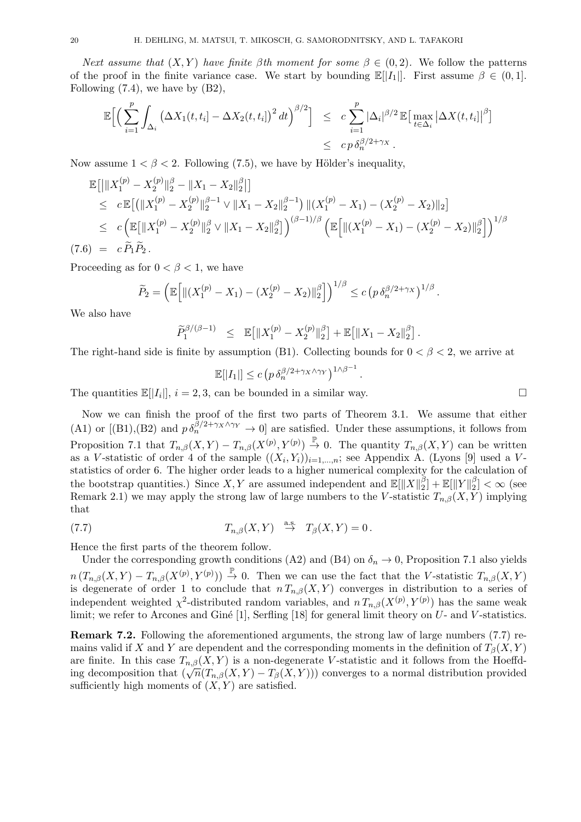*Next assume that*  $(X, Y)$  *have finite*  $\beta$ *th moment for some*  $\beta \in (0, 2)$ *.* We follow the patterns of the proof in the finite variance case. We start by bounding  $\mathbb{E}[|I_1|]$ . First assume  $\beta \in (0,1]$ . Following  $(7.4)$ , we have by  $(B2)$ ,

$$
\mathbb{E}\Big[\Big(\sum_{i=1}^p \int_{\Delta_i} \left(\Delta X_1(t,t_i) - \Delta X_2(t,t_i)\right)^2 dt\Big)^{\beta/2}\Big] \leq c \sum_{i=1}^p |\Delta_i|^{\beta/2} \mathbb{E}\big[\max_{t \in \Delta_i} \left|\Delta X(t,t_i)\right|^{\beta}\big] \leq c p \,\delta_n^{\beta/2 + \gamma_X}.
$$

Now assume  $1 < \beta < 2$ . Following (7.5), we have by Hölder's inequality,

$$
\mathbb{E}\left[\left|\|X_1^{(p)} - X_2^{(p)}\|_2^{\beta} - \|X_1 - X_2\|_2^{\beta}\right|\right] \n\leq c \mathbb{E}\left[\left(\|X_1^{(p)} - X_2^{(p)}\|_2^{\beta - 1} \vee \|X_1 - X_2\|_2^{\beta - 1}\right) \| (X_1^{(p)} - X_1) - (X_2^{(p)} - X_2) \|_2\right] \n\leq c \left(\mathbb{E}\left[\|X_1^{(p)} - X_2^{(p)}\|_2^{\beta} \vee \|X_1 - X_2\|_2^{\beta}\right]\right)^{(\beta - 1)/\beta} \left(\mathbb{E}\left[\|(X_1^{(p)} - X_1) - (X_2^{(p)} - X_2)\|_2^{\beta}\right]\right)^{1/\beta} \n(7.6) = c \widetilde{P}_1 \widetilde{P}_2.
$$

Proceeding as for  $0 < \beta < 1$ , we have

$$
\widetilde{P}_2 = \left( \mathbb{E} \left[ \left\| (X_1^{(p)} - X_1) - (X_2^{(p)} - X_2) \right\|_2^{\beta} \right] \right)^{1/\beta} \le c \left( p \, \delta_n^{\beta/2 + \gamma_X} \right)^{1/\beta}.
$$

We also have

$$
\widetilde{P}_1^{\beta/(\beta-1)} \leq \mathbb{E}\big[\|X_1^{(p)} - X_2^{(p)}\|_2^{\beta}\big] + \mathbb{E}\big[\|X_1 - X_2\|_2^{\beta}\big].
$$

The right-hand side is finite by assumption (B1). Collecting bounds for 0 *< β <* 2, we arrive at

$$
\mathbb{E}[|I_1|] \le c \left( p \, \delta_n^{\beta/2 + \gamma_X \wedge \gamma_Y} \right)^{1 \wedge \beta^{-1}}.
$$

The quantities  $\mathbb{E}[|I_i|], i = 2, 3$ , can be bounded in a similar way. □

Now we can finish the proof of the first two parts of Theorem 3.1. We assume that either (A1) or [(B1),(B2) and  $p \delta_n^{\beta/2+\gamma_X\wedge\gamma_Y} \to 0$ ] are satisfied. Under these assumptions, it follows from Proposition 7.1 that  $T_{n,\beta}(X,Y) - T_{n,\beta}(X^{(p)},Y^{(p)}) \stackrel{\mathbb{P}}{\rightarrow} 0$ . The quantity  $T_{n,\beta}(X,Y)$  can be written as a *V*-statistic of order 4 of the sample  $((X_i, Y_i))_{i=1,\dots,n}$ ; see Appendix A. (Lyons [9] used a *V*statistics of order 6. The higher order leads to a higher numerical complexity for the calculation of the bootstrap quantities.) Since  $X, Y$  are assumed independent and  $\mathbb{E}[\|X\|_2^{\beta}]$  $\frac{\beta}{2}]+\mathbb{E}[\|Y\|_2^{\beta}$  $\binom{p}{2} < \infty$  (see Remark 2.1) we may apply the strong law of large numbers to the *V*-statistic  $T_{n,\beta}(X, Y)$  implying that

(7.7) 
$$
T_{n,\beta}(X,Y) \stackrel{\text{a.s.}}{\rightarrow} T_{\beta}(X,Y) = 0.
$$

Hence the first parts of the theorem follow.

Under the corresponding growth conditions (A2) and (B4) on  $\delta_n \to 0$ , Proposition 7.1 also yields  $n(T_{n,\beta}(X,Y) - T_{n,\beta}(X^{(p)},Y^{(p)})) \stackrel{\mathbb{P}}{\rightarrow} 0$ . Then we can use the fact that the *V*-statistic  $T_{n,\beta}(X,Y)$ is degenerate of order 1 to conclude that  $n T_{n,\beta}(X,Y)$  converges in distribution to a series of independent weighted  $\chi^2$ -distributed random variables, and  $n T_{n,\beta}(X^{(p)}, Y^{(p)})$  has the same weak limit; we refer to Arcones and Giné [1], Serfling [18] for general limit theory on *U*- and *V*-statistics.

**Remark 7.2.** Following the aforementioned arguments, the strong law of large numbers (7.7) remains valid if *X* and *Y* are dependent and the corresponding moments in the definition of  $T_\beta(X, Y)$ are finite. In this case  $T_{n,\beta}(X, Y)$  is a non-degenerate *V*-statistic and it follows from the Hoeffding decomposition that  $(\sqrt{n}(T_{n,\beta}(X,Y) - T_{\beta}(X,Y)))$  converges to a normal distribution provided sufficiently high moments of  $(X, Y)$  are satisfied.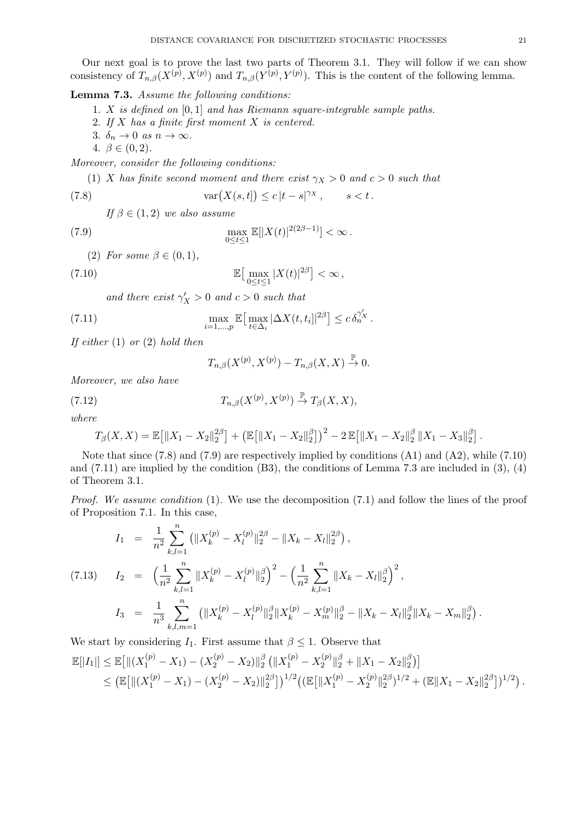Our next goal is to prove the last two parts of Theorem 3.1. They will follow if we can show consistency of  $T_{n,\beta}(X^{(p)}, X^{(p)})$  and  $T_{n,\beta}(Y^{(p)}, Y^{(p)})$ . This is the content of the following lemma.

# **Lemma 7.3.** *Assume the following conditions:*

- 1. *X is defined on* [0*,* 1] *and has Riemann square-integrable sample paths.*
- 2. *If X has a finite first moment X is centered.*
- 3.  $\delta_n \to 0$  *as*  $n \to \infty$ .
- 4.  $\beta \in (0, 2)$ .

*Moreover, consider the following conditions:*

(1) *X* has finite second moment and there exist  $\gamma_X > 0$  and  $c > 0$  such that

(7.8) 
$$
\operatorname{var}(X(s,t]) \le c |t-s|^{\gamma_X}, \qquad s < t.
$$

*If*  $\beta \in (1, 2)$  *we also assume* 

(7.9) 
$$
\max_{0 \le t \le 1} \mathbb{E}[|X(t)|^{2(2\beta - 1)}] < \infty.
$$

(2) *For some*  $\beta \in (0,1)$ ,

(7.10) 
$$
\mathbb{E}\big[\max_{0\leq t\leq 1}|X(t)|^{2\beta}\big]<\infty,
$$

*and there exist*  $\gamma'_{\mathcal{X}} > 0$  *and*  $c > 0$  *such that* 

(7.11) 
$$
\max_{i=1,\dots,p} \mathbb{E}\big[\max_{t\in\Delta_i} |\Delta X(t,t_i]|^{2\beta}\big] \leq c \,\delta_n^{\gamma'_X}.
$$

*If either* (1) *or* (2) *hold then*

$$
T_{n,\beta}(X^{(p)}, X^{(p)}) - T_{n,\beta}(X, X) \stackrel{\mathbb{P}}{\to} 0.
$$

*Moreover, we also have*

(7.12) 
$$
T_{n,\beta}(X^{(p)}, X^{(p)}) \stackrel{\mathbb{P}}{\rightarrow} T_{\beta}(X,X),
$$

*where*

$$
T_{\beta}(X,X)=\mathbb{E}\big[\|X_1-X_2\|_2^{2\beta}\big]+\big(\mathbb{E}\big[\|X_1-X_2\|_2^{\beta}\big]\big)^2-2\,\mathbb{E}\big[\|X_1-X_2\|_2^{\beta}\,\|X_1-X_3\|_2^{\beta}\big].
$$

Note that since (7.8) and (7.9) are respectively implied by conditions (A1) and (A2), while (7.10) and  $(7.11)$  are implied by the condition  $(B3)$ , the conditions of Lemma 7.3 are included in  $(3)$ ,  $(4)$ of Theorem 3.1.

*Proof.* We assume condition (1). We use the decomposition (7.1) and follow the lines of the proof of Proposition 7.1. In this case,

$$
I_{1} = \frac{1}{n^{2}} \sum_{k,l=1}^{n} (||X_{k}^{(p)} - X_{l}^{(p)}||_{2}^{2\beta} - ||X_{k} - X_{l}||_{2}^{2\beta}),
$$
  
\n(7.13) 
$$
I_{2} = \left(\frac{1}{n^{2}} \sum_{k,l=1}^{n} ||X_{k}^{(p)} - X_{l}^{(p)}||_{2}^{\beta}\right)^{2} - \left(\frac{1}{n^{2}} \sum_{k,l=1}^{n} ||X_{k} - X_{l}||_{2}^{\beta}\right)^{2},
$$
  
\n
$$
I_{3} = \frac{1}{n^{3}} \sum_{k,l,m=1}^{n} (||X_{k}^{(p)} - X_{l}^{(p)}||_{2}^{\beta} ||X_{k}^{(p)} - X_{m}^{(p)}||_{2}^{\beta} - ||X_{k} - X_{l}||_{2}^{\beta} ||X_{k} - X_{m}||_{2}^{\beta}).
$$

We start by considering  $I_1$ . First assume that  $\beta \leq 1$ . Observe that

$$
\mathbb{E}[|I_1|] \leq \mathbb{E}\big[\|(X_1^{(p)} - X_1) - (X_2^{(p)} - X_2)\|_2^{\beta}\left(\|X_1^{(p)} - X_2^{(p)}\|_2^{\beta} + \|X_1 - X_2\|_2^{\beta}\right)\big] \leq \left(\mathbb{E}\big[\|(X_1^{(p)} - X_1) - (X_2^{(p)} - X_2)\|_2^{2\beta}\big]\right)^{1/2} \left(\left(\mathbb{E}\big[\|X_1^{(p)} - X_2^{(p)}\|_2^{2\beta}\big]^{1/2} + \left(\mathbb{E}\|X_1 - X_2\|_2^{2\beta}\right]\right)^{1/2}\right).
$$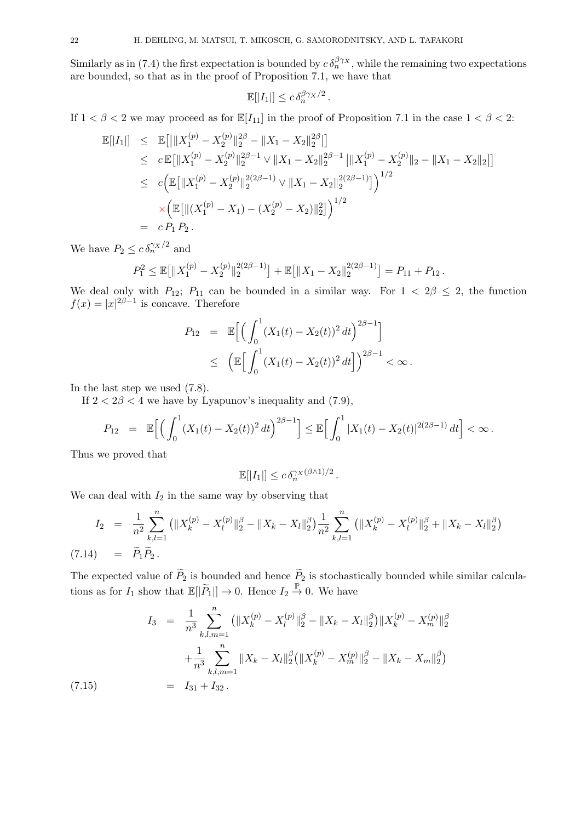Similarly as in (7.4) the first expectation is bounded by  $c \delta_n^{\beta\gamma}$ , while the remaining two expectations are bounded, so that as in the proof of Proposition 7.1, we have that

$$
\mathbb{E}[|I_1|] \leq c \, \delta_n^{\beta \gamma_X/2} \, .
$$

If  $1 < \beta < 2$  we may proceed as for  $\mathbb{E}[I_{11}]$  in the proof of Proposition 7.1 in the case  $1 < \beta < 2$ :

$$
\mathbb{E}[|I_{1}|] \leq \mathbb{E}[||X_{1}^{(p)} - X_{2}^{(p)}||_{2}^{2\beta} - ||X_{1} - X_{2}||_{2}^{2\beta}||] \n\leq c \mathbb{E}[||X_{1}^{(p)} - X_{2}^{(p)}||_{2}^{2\beta - 1} \vee ||X_{1} - X_{2}||_{2}^{2\beta - 1} ||X_{1}^{(p)} - X_{2}^{(p)}||_{2} - ||X_{1} - X_{2}||_{2}||] \n\leq c \Big( \mathbb{E}[||X_{1}^{(p)} - X_{2}^{(p)}||_{2}^{2(2\beta - 1)} \vee ||X_{1} - X_{2}||_{2}^{2(2\beta - 1)}] \Big)^{1/2} \n\times \Big( \mathbb{E}[||(X_{1}^{(p)} - X_{1}) - (X_{2}^{(p)} - X_{2})||_{2}^{2}]\Big)^{1/2} \n= c P_{1} P_{2} .
$$

We have  $P_2 \leq c \, \delta_n^{\gamma_X/2}$  and

$$
P_1^2 \le \mathbb{E}\big[\|X_1^{(p)} - X_2^{(p)}\|_2^{2(2\beta - 1)}\big] + \mathbb{E}\big[\|X_1 - X_2\|_2^{2(2\beta - 1)}\big] = P_{11} + P_{12}.
$$

We deal only with *P*<sub>12</sub>; *P*<sub>11</sub> can be bounded in a similar way. For  $1 < 2\beta \le 2$ , the function  $f(x) = |x|^{2\beta - 1}$  is concave. Therefore

$$
P_{12} = \mathbb{E}\Big[\Big(\int_0^1 (X_1(t) - X_2(t))^2 dt\Big)^{2\beta - 1}\Big] \le \left(\mathbb{E}\Big[\int_0^1 (X_1(t) - X_2(t))^2 dt\Big]\right)^{2\beta - 1} < \infty.
$$

In the last step we used (7.8).

If  $2 < 2\beta < 4$  we have by Lyapunov's inequality and  $(7.9)$ ,

$$
P_{12} = \mathbb{E}\Big[\Big(\int_0^1 (X_1(t) - X_2(t))^2 dt\Big)^{2\beta - 1}\Big] \leq \mathbb{E}\Big[\int_0^1 |X_1(t) - X_2(t)|^{2(2\beta - 1)} dt\Big] < \infty.
$$

Thus we proved that

 $(7.15)$ 

$$
\mathbb{E}[|I_1|] \leq c \, \delta_n^{\gamma_X(\beta \wedge 1)/2} \, .
$$

We can deal with  $I_2$  in the same way by observing that

$$
I_2 = \frac{1}{n^2} \sum_{k,l=1}^n \left( \|X_k^{(p)} - X_l^{(p)}\|_2^{\beta} - \|X_k - X_l\|_2^{\beta} \right) \frac{1}{n^2} \sum_{k,l=1}^n \left( \|X_k^{(p)} - X_l^{(p)}\|_2^{\beta} + \|X_k - X_l\|_2^{\beta} \right)
$$
  
(7.14) =  $\tilde{P}_1 \tilde{P}_2$ .

The expected value of  $\widetilde{P}_2$  is bounded and hence  $\widetilde{P}_2$  is stochastically bounded while similar calculations as for  $I_1$  show that  $\mathbb{E}[|\tilde{P}_1|] \to 0$ . Hence  $I_2 \stackrel{\mathbb{P}}{\to} 0$ . We have

$$
I_3 = \frac{1}{n^3} \sum_{k,l,m=1}^n (||X_k^{(p)} - X_l^{(p)}||_2^{\beta} - ||X_k - X_l||_2^{\beta}) ||X_k^{(p)} - X_m^{(p)}||_2^{\beta}
$$
  
+ 
$$
\frac{1}{n^3} \sum_{k,l,m=1}^n ||X_k - X_l||_2^{\beta} (||X_k^{(p)} - X_m^{(p)}||_2^{\beta} - ||X_k - X_m||_2^{\beta})
$$
  
= 
$$
I_{31} + I_{32}.
$$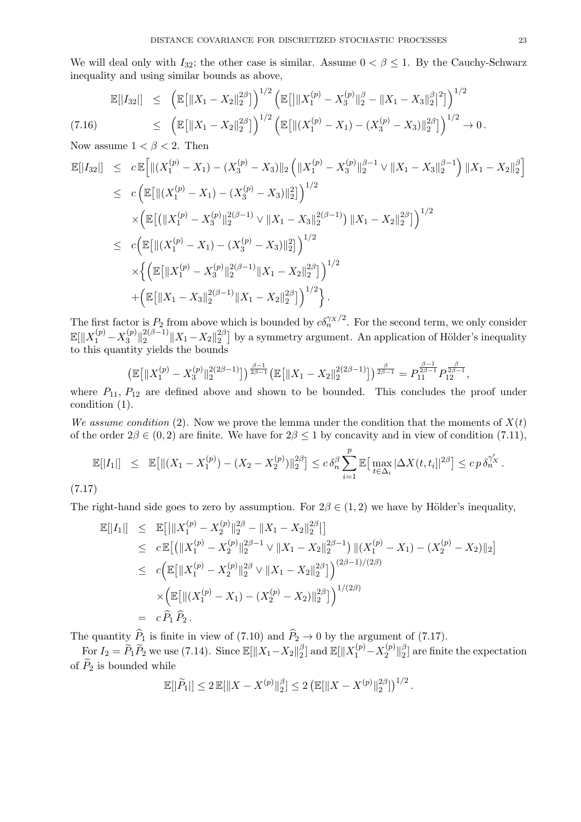We will deal only with  $I_{32}$ ; the other case is similar. Assume  $0 < \beta \leq 1$ . By the Cauchy-Schwarz inequality and using similar bounds as above,

$$
\mathbb{E}[|I_{32}|] \leq \left( \mathbb{E}[\|X_1 - X_2\|_2^{2\beta}] \right)^{1/2} \left( \mathbb{E}[\|X_1^{(p)} - X_3^{(p)}\|_2^{\beta} - \|X_1 - X_3\|_2^{\beta}]^2 \right)^{1/2}
$$
\n
$$
\leq \left( \mathbb{E}[\|X_1 - X_2\|_2^{2\beta}] \right)^{1/2} \left( \mathbb{E}[\|(X_1^{(p)} - X_1) - (X_3^{(p)} - X_3)\|_2^{2\beta}] \right)^{1/2} \to 0.
$$

Now assume  $1 < \beta < 2$ . Then

$$
\mathbb{E}[|I_{32}|] \leq c \mathbb{E}\Big[\|(X_1^{(p)} - X_1) - (X_3^{(p)} - X_3)\|_2 \left(\|X_1^{(p)} - X_3^{(p)}\|_2^{\beta - 1} \vee \|X_1 - X_3\|_2^{\beta - 1}\right) \|X_1 - X_2\|_2^{\beta}\Big] \n\leq c \Big(\mathbb{E}\big[\|(X_1^{(p)} - X_1) - (X_3^{(p)} - X_3)\|_2^2\big]\Big)^{1/2} \n\times \Big(\mathbb{E}\big[\big(\|X_1^{(p)} - X_3^{(p)}\|_2^{2(\beta - 1)} \vee \|X_1 - X_3\|_2^{2(\beta - 1)}\big) \|X_1 - X_2\|_2^{2\beta}\big]\Big)^{1/2} \n\leq c \Big(\mathbb{E}\big[\|(X_1^{(p)} - X_1) - (X_3^{(p)} - X_3)\|_2^2\big]\Big)^{1/2} \n\times \Big\{\Big(\mathbb{E}\big[\|X_1^{(p)} - X_3^{(p)}\|_2^{2(\beta - 1)} \|X_1 - X_2\|_2^{2\beta}\big]\Big)^{1/2} \n+ \Big(\mathbb{E}\big[\|X_1 - X_3\|_2^{2(\beta - 1)} \|X_1 - X_2\|_2^{2\beta}\big]\Big)^{1/2}\Big\}.
$$

The first factor is  $P_2$  from above which is bounded by  $c\delta_n^{\gamma x/2}$ . For the second term, we only consider  $\mathbb{E}[\|X_1^{(p)} - X_3^{(p)}\]$  $\frac{d^{(p)}}{3}$ || $\frac{2(\beta-1)}{2}$ || $X_1 - X_2$ || $\frac{2\beta}{2}$  $\binom{2\beta}{2}$  by a symmetry argument. An application of Hölder's inequality to this quantity yields the bounds

$$
\left(\mathbb{E}\big[\|X_1^{(p)}-X_3^{(p)}\|_2^{2(2\beta-1)}\big]\right)^{\frac{\beta-1}{2\beta-1}}\left(\mathbb{E}\big[\|X_1-X_2\|_2^{2(2\beta-1)}\big]\right)^{\frac{\beta}{2\beta-1}}=P_{11}^{\frac{\beta-1}{2\beta-1}}P_{12}^{\frac{\beta}{2\beta-1}},
$$

where  $P_{11}$ ,  $P_{12}$  are defined above and shown to be bounded. This concludes the proof under condition (1).

*We assume condition* (2). Now we prove the lemma under the condition that the moments of  $X(t)$ of the order  $2\beta \in (0, 2)$  are finite. We have for  $2\beta \leq 1$  by concavity and in view of condition (7.11),

$$
\mathbb{E}[|I_1|] \leq \mathbb{E}[||(X_1 - X_1^{(p)}) - (X_2 - X_2^{(p)})||_2^{2\beta}] \leq c \,\delta_n^{\beta} \sum_{i=1}^p \mathbb{E}[\max_{t \in \Delta_i} |\Delta X(t, t_i)|^{2\beta}] \leq c \, p \,\delta_n^{\gamma'_X}.
$$

(7.17)

The right-hand side goes to zero by assumption. For  $2\beta \in (1,2)$  we have by Hölder's inequality,

$$
\mathbb{E}[|I_{1}|] \leq \mathbb{E}[\|X_{1}^{(p)} - X_{2}^{(p)}\|_{2}^{2\beta} - \|X_{1} - X_{2}\|_{2}^{2\beta}]
$$
\n
$$
\leq c \mathbb{E}[(\|X_{1}^{(p)} - X_{2}^{(p)}\|_{2}^{2\beta - 1} \vee \|X_{1} - X_{2}\|_{2}^{2\beta - 1}) \|(X_{1}^{(p)} - X_{1}) - (X_{2}^{(p)} - X_{2})\|_{2}]
$$
\n
$$
\leq c \Big( \mathbb{E}[\|X_{1}^{(p)} - X_{2}^{(p)}\|_{2}^{2\beta} \vee \|X_{1} - X_{2}\|_{2}^{2\beta}] \Big)^{(2\beta - 1)/(2\beta)}
$$
\n
$$
\times \Big( \mathbb{E}[\|(X_{1}^{(p)} - X_{1}) - (X_{2}^{(p)} - X_{2})\|_{2}^{2\beta}] \Big)^{1/(2\beta)}
$$
\n
$$
= c \widehat{P}_{1} \widehat{P}_{2}.
$$

The quantity  $P_1$  is finite in view of (7.10) and  $P_2 \to 0$  by the argument of (7.17).

For  $I_2 = \widetilde{P}_1 \widetilde{P}_2$  we use (7.14). Since  $\mathbb{E}[\|X_1 - X_2\|_2^{\beta}]$  $\frac{\beta}{2}$  and  $\mathbb{E}[\|X_1^{(p)} - X_2^{(p)}\]$  $\frac{p(p)}{2}$   $\parallel} \frac{\beta}{2}$  $\binom{p}{2}$  are finite the expectation of  $P_2$  is bounded while

$$
\mathbb{E}[|\widetilde{P}_1|] \le 2 \mathbb{E}[\|X - X^{(p)}\|_2^{\beta}] \le 2 \left( \mathbb{E}[\|X - X^{(p)}\|_2^{2\beta}] \right)^{1/2}.
$$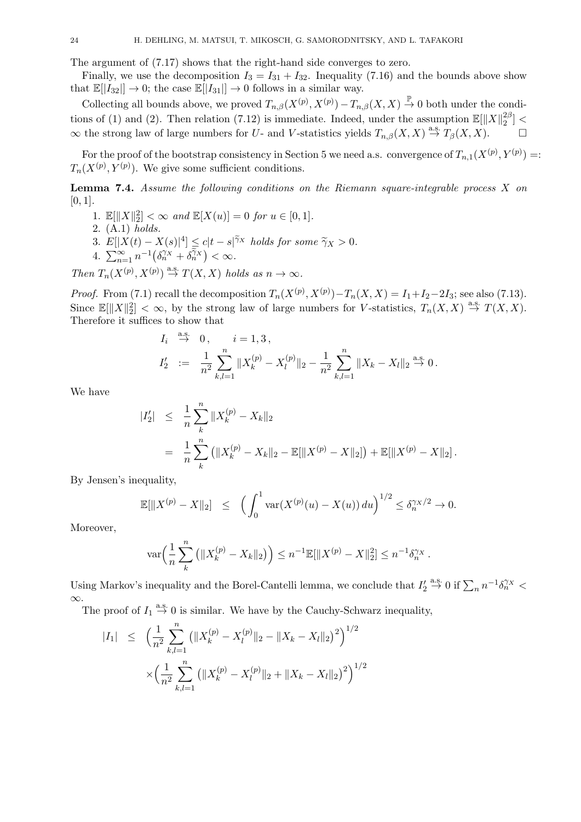The argument of (7.17) shows that the right-hand side converges to zero.

Finally, we use the decomposition  $I_3 = I_{31} + I_{32}$ . Inequality (7.16) and the bounds above show that  $\mathbb{E}[|I_{32}|] \to 0$ ; the case  $\mathbb{E}[|I_{31}|] \to 0$  follows in a similar way.

Collecting all bounds above, we proved  $T_{n,\beta}(X^{(p)}, X^{(p)}) - T_{n,\beta}(X, X) \stackrel{\mathbb{P}}{\to} 0$  both under the conditions of (1) and (2). Then relation (7.12) is immediate. Indeed, under the assumption  $\mathbb{E}[\|X\|_2^{2\beta}]$  $\binom{2p}{2}$  <  $\infty$  the strong law of large numbers for *U*- and *V*-statistics yields  $T_{n,\beta}(X,X) \stackrel{\text{a.s.}}{\rightarrow} T_{\beta}(X,X)$ . □

For the proof of the bootstrap consistency in Section 5 we need a.s. convergence of  $T_{n,1}(X^{(p)}, Y^{(p)}) =$  $T_n(X^{(p)}, Y^{(p)})$ . We give some sufficient conditions.

**Lemma 7.4.** *Assume the following conditions on the Riemann square-integrable process X on* [0*,* 1]*.*

- 1.  $\mathbb{E}[\|X\|_2^2] < \infty$  and  $\mathbb{E}[X(u)] = 0$  for  $u \in [0, 1]$ .
- 2. (A.1) *holds.*
- 3.  $E[|X(t) X(s)|^4] \le c|t s|^{\tilde{\gamma}_X}$  holds for some  $\tilde{\gamma}_X > 0$ .<br>4.  $\sum_{n=1}^{\infty} n^{-1}(\delta_n^{\gamma_X} + \delta_n^{\tilde{\gamma}_X}) < \infty$ .
- 

*Then*  $T_n(X^{(p)}, X^{(p)}) \stackrel{\text{a.s.}}{\rightarrow} T(X, X)$  *holds as*  $n \to \infty$ *.* 

*Proof.* From (7.1) recall the decomposition  $T_n(X^{(p)}, X^{(p)}) - T_n(X, X) = I_1 + I_2 - 2I_3$ ; see also (7.13). Since  $\mathbb{E}[\|X\|_2^2] < \infty$ , by the strong law of large numbers for *V*-statistics,  $T_n(X,X) \stackrel{\text{a.s.}}{\to} T(X,X)$ . Therefore it suffices to show that

$$
I_i \stackrel{\text{a.s.}}{\to} 0, \quad i = 1, 3,
$$
  
\n
$$
I'_2 := \frac{1}{n^2} \sum_{k,l=1}^n \|X_k^{(p)} - X_l^{(p)}\|_2 - \frac{1}{n^2} \sum_{k,l=1}^n \|X_k - X_l\|_2 \stackrel{\text{a.s.}}{\to} 0.
$$

We have

$$
\begin{array}{rcl} |I_2'| & \leq & \frac{1}{n} \sum_{k}^{n} \|X_k^{(p)} - X_k\|_2 \\ & = & \frac{1}{n} \sum_{k}^{n} \left( \|X_k^{(p)} - X_k\|_2 - \mathbb{E}[\|X^{(p)} - X\|_2] \right) + \mathbb{E}[\|X^{(p)} - X\|_2] \, . \end{array}
$$

By Jensen's inequality,

$$
\mathbb{E}[\|X^{(p)} - X\|_2] \leq \left(\int_0^1 \text{var}(X^{(p)}(u) - X(u)) du\right)^{1/2} \leq \delta_n^{\gamma_X/2} \to 0.
$$

Moreover,

$$
\text{var}\Big(\frac{1}{n}\sum_{k}^{n}\left(\|X_{k}^{(p)} - X_{k}\|_{2}\right)\Big) \leq n^{-1}\mathbb{E}[\|X^{(p)} - X\|_{2}^{2}] \leq n^{-1}\delta_{n}^{\gamma_{X}}.
$$

Using Markov's inequality and the Borel-Cantelli lemma, we conclude that  $I'_2 \stackrel{\text{a.s.}}{\rightarrow} 0$  if  $\sum_n n^{-1} \delta_n^{\gamma \chi}$ *∞*.

The proof of  $I_1 \stackrel{\text{a.s.}}{\rightarrow} 0$  is similar. We have by the Cauchy-Schwarz inequality,

$$
|I_{1}| \leq \left(\frac{1}{n^{2}} \sum_{k,l=1}^{n} \left(\|X_{k}^{(p)} - X_{l}^{(p)}\|_{2} - \|X_{k} - X_{l}\|_{2}\right)^{2}\right)^{1/2}
$$

$$
\times \left(\frac{1}{n^{2}} \sum_{k,l=1}^{n} \left(\|X_{k}^{(p)} - X_{l}^{(p)}\|_{2} + \|X_{k} - X_{l}\|_{2}\right)^{2}\right)^{1/2}
$$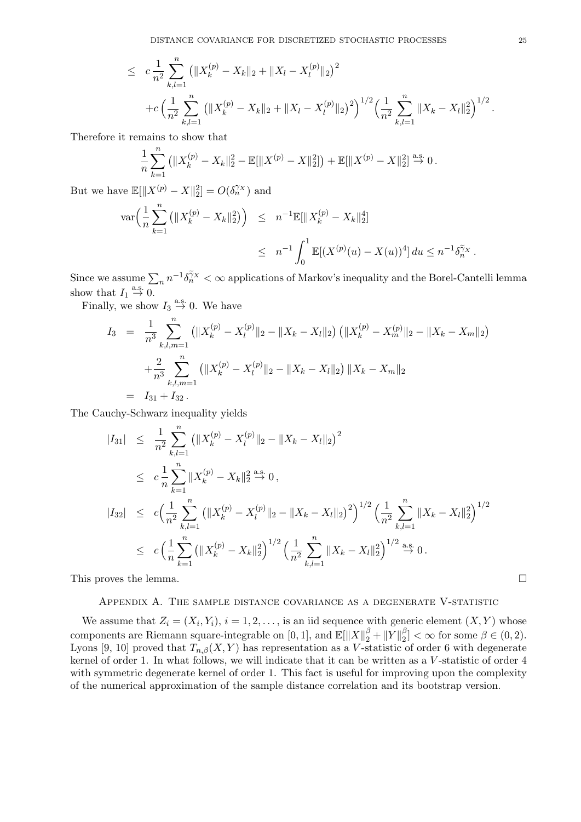$$
\leq c \frac{1}{n^2} \sum_{k,l=1}^n \left( \|X_k^{(p)} - X_k\|_2 + \|X_l - X_l^{(p)}\|_2 \right)^2
$$
  
+ 
$$
c \left( \frac{1}{n^2} \sum_{k,l=1}^n \left( \|X_k^{(p)} - X_k\|_2 + \|X_l - X_l^{(p)}\|_2 \right)^2 \right)^{1/2} \left( \frac{1}{n^2} \sum_{k,l=1}^n \|X_k - X_l\|_2^2 \right)^{1/2}.
$$

Therefore it remains to show that

$$
\frac{1}{n}\sum_{k=1}^{n} (||X_k^{(p)} - X_k||_2^2 - \mathbb{E}[||X^{(p)} - X||_2^2]) + \mathbb{E}[||X^{(p)} - X||_2^2] \stackrel{\text{a.s.}}{\to} 0.
$$

But we have  $\mathbb{E}[\|X^{(p)} - X\|_2^2] = O(\delta_n^{\gamma_X})$  and

$$
\operatorname{var}\Big(\frac{1}{n}\sum_{k=1}^n\left(\|X_k^{(p)} - X_k\|_2^2\right)\Big) \leq n^{-1}\mathbb{E}[\|X_k^{(p)} - X_k\|_2^4] \leq n^{-1}\int_0^1 \mathbb{E}[(X^{(p)}(u) - X(u))^4] du \leq n^{-1}\delta_n^{\tilde{\gamma}_X}.
$$

Since we assume  $\sum_n n^{-1} \delta_n^{\tilde{\gamma}_X} < \infty$  applications of Markov's inequality and the Borel-Cantelli lemma show that  $I_1 \stackrel{\text{a.s.}}{\rightarrow} 0$ .

Finally, we show  $I_3 \stackrel{\text{a.s.}}{\rightarrow} 0$ . We have

$$
I_3 = \frac{1}{n^3} \sum_{k,l,m=1}^n (||X_k^{(p)} - X_l^{(p)}||_2 - ||X_k - X_l||_2) (||X_k^{(p)} - X_m^{(p)}||_2 - ||X_k - X_m||_2)
$$
  
+ 
$$
\frac{2}{n^3} \sum_{k,l,m=1}^n (||X_k^{(p)} - X_l^{(p)}||_2 - ||X_k - X_l||_2) ||X_k - X_m||_2
$$
  
=  $I_{31} + I_{32}$ .

The Cauchy-Schwarz inequality yields

$$
|I_{31}| \leq \frac{1}{n^2} \sum_{k,l=1}^n (||X_k^{(p)} - X_l^{(p)}||_2 - ||X_k - X_l||_2)^2
$$
  
\n
$$
\leq c \frac{1}{n} \sum_{k=1}^n ||X_k^{(p)} - X_k||_2^2 \stackrel{\text{a.s.}}{\to} 0,
$$
  
\n
$$
|I_{32}| \leq c \Big( \frac{1}{n^2} \sum_{k,l=1}^n (||X_k^{(p)} - X_l^{(p)}||_2 - ||X_k - X_l||_2)^2 \Big)^{1/2} \Big( \frac{1}{n^2} \sum_{k,l=1}^n ||X_k - X_l||_2^2 \Big)^{1/2}
$$
  
\n
$$
\leq c \Big( \frac{1}{n} \sum_{k=1}^n (||X_k^{(p)} - X_k||_2^2)^{1/2} \Big( \frac{1}{n^2} \sum_{k,l=1}^n ||X_k - X_l||_2^2 \Big)^{1/2} \stackrel{\text{a.s.}}{\to} 0.
$$

This proves the lemma. □

# Appendix A. The sample distance covariance as a degenerate V-statistic

We assume that  $Z_i = (X_i, Y_i), i = 1, 2, \ldots$ , is an iid sequence with generic element  $(X, Y)$  whose components are Riemann square-integrable on [0, 1], and  $\mathbb{E}[\|X\|_2^{\beta} + \|Y\|_2^{\beta}]$  $\binom{p}{2} < \infty$  for some  $\beta \in (0, 2)$ . Lyons [9, 10] proved that  $T_{n,\beta}(X,Y)$  has representation as a *V*-statistic of order 6 with degenerate kernel of order 1. In what follows, we will indicate that it can be written as a *V* -statistic of order 4 with symmetric degenerate kernel of order 1. This fact is useful for improving upon the complexity of the numerical approximation of the sample distance correlation and its bootstrap version.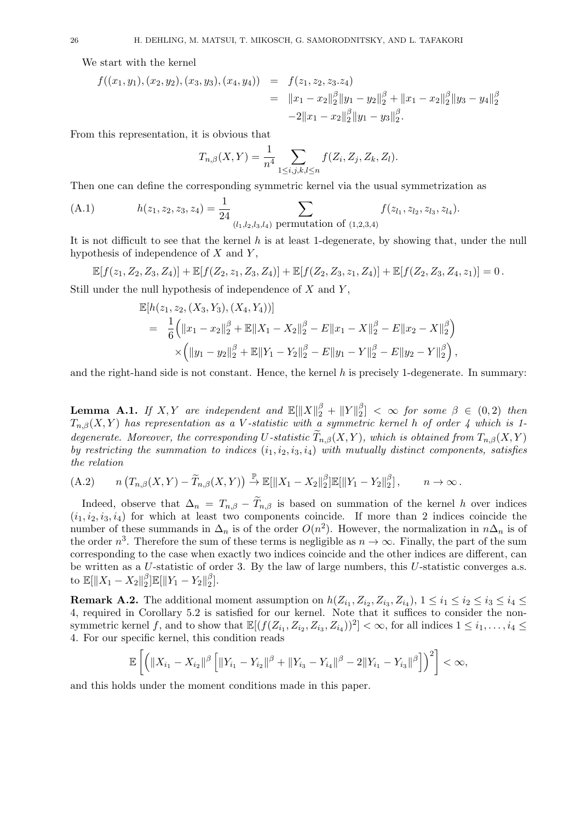We start with the kernel

$$
f((x_1, y_1), (x_2, y_2), (x_3, y_3), (x_4, y_4)) = f(z_1, z_2, z_3, z_4)
$$
  
=  $||x_1 - x_2||_2^{\beta} ||y_1 - y_2||_2^{\beta} + ||x_1 - x_2||_2^{\beta} ||y_3 - y_4||_2^{\beta}$   
-2 $||x_1 - x_2||_2^{\beta} ||y_1 - y_3||_2^{\beta}$ .

From this representation, it is obvious that

$$
T_{n,\beta}(X,Y) = \frac{1}{n^4} \sum_{1 \le i,j,k,l \le n} f(Z_i, Z_j, Z_k, Z_l).
$$

Then one can define the corresponding symmetric kernel via the usual symmetrization as

(A.1) 
$$
h(z_1, z_2, z_3, z_4) = \frac{1}{24} \sum_{(l_1, l_2, l_3, l_4) \text{ permutation of } (1, 2, 3, 4)} f(z_{l_1}, z_{l_2}, z_{l_3}, z_{l_4}).
$$

It is not difficult to see that the kernel *h* is at least 1-degenerate, by showing that, under the null hypothesis of independence of *X* and *Y* ,

$$
\mathbb{E}[f(z_1, Z_2, Z_3, Z_4)] + \mathbb{E}[f(Z_2, z_1, Z_3, Z_4)] + \mathbb{E}[f(Z_2, Z_3, z_1, Z_4)] + \mathbb{E}[f(Z_2, Z_3, Z_4, z_1)] = 0.
$$

Still under the null hypothesis of independence of *X* and *Y* ,

$$
\mathbb{E}[h(z_1, z_2, (X_3, Y_3), (X_4, Y_4))]
$$
\n
$$
= \frac{1}{6} (||x_1 - x_2||_2^{\beta} + \mathbb{E}||X_1 - X_2||_2^{\beta} - E||x_1 - X||_2^{\beta} - E||x_2 - X||_2^{\beta})
$$
\n
$$
\times (||y_1 - y_2||_2^{\beta} + \mathbb{E}||Y_1 - Y_2||_2^{\beta} - E||y_1 - Y||_2^{\beta} - E||y_2 - Y||_2^{\beta}),
$$

and the right-hand side is not constant. Hence, the kernel *h* is precisely 1-degenerate. In summary:

 $\bf{Lemma \ \ } A.1. \ \ } If \ \ X,Y \ \ are \ independent \ \ and \ \ \mathbb{E}[\|X\|_2^{\beta}+\|Y\|_2^{\beta}]$  $\binom{p}{2}$  <  $\infty$  *for some*  $\beta \in (0,2)$  *then Tn,β*(*X, Y* ) *has representation as a V -statistic with a symmetric kernel h of order 4 which is 1 degenerate. Moreover, the corresponding U-statistic*  $\widetilde{T}_{n,\beta}(X,Y)$ *, which is obtained from*  $T_{n,\beta}(X,Y)$ *by restricting the summation to indices* (*i*1*, i*2*, i*3*, i*4) *with mutually distinct components, satisfies the relation*

(A.2) 
$$
n(T_{n,\beta}(X,Y)-\widetilde{T}_{n,\beta}(X,Y)) \stackrel{\mathbb{P}}{\rightarrow} \mathbb{E}[\|X_1-X_2\|_2^{\beta}]\mathbb{E}[\|Y_1-Y_2\|_2^{\beta}], \qquad n \to \infty.
$$

Indeed, observe that  $\Delta_n = T_{n,\beta} - \widetilde{T}_{n,\beta}$  is based on summation of the kernel *h* over indices  $(i_1, i_2, i_3, i_4)$  for which at least two components coincide. If more than 2 indices coincide the number of these summands in  $\Delta_n$  is of the order  $O(n^2)$ . However, the normalization in  $n\Delta_n$  is of the order  $n^3$ . Therefore the sum of these terms is negligible as  $n \to \infty$ . Finally, the part of the sum corresponding to the case when exactly two indices coincide and the other indices are different, can be written as a *U*-statistic of order 3. By the law of large numbers, this *U*-statistic converges a.s. to  $\mathbb{E}[\|X_1 - X_2\|_2^{\beta}]$  $\frac{\beta}{2}$ ] $\mathbb{E}[\|Y_1 - Y_2\|_2^{\beta}$  $\binom{p}{2}$ .

**Remark A.2.** The additional moment assumption on  $h(Z_{i_1}, Z_{i_2}, Z_{i_3}, Z_{i_4}), 1 \leq i_1 \leq i_2 \leq i_3 \leq i_4 \leq i_5$ 4, required in Corollary 5.2 is satisfied for our kernel. Note that it suffices to consider the nonsymmetric kernel *f*, and to show that  $\mathbb{E}[(f(Z_{i_1}, Z_{i_2}, Z_{i_3}, Z_{i_4}))^2] < \infty$ , for all indices  $1 \leq i_1, \ldots, i_4 \leq j_4$ 4. For our specific kernel, this condition reads

$$
\mathbb{E}\left[\left(\|X_{i_1}-X_{i_2}\|^{\beta}\left[\|Y_{i_1}-Y_{i_2}\|^{\beta}+\|Y_{i_3}-Y_{i_4}\|^{\beta}-2\|Y_{i_1}-Y_{i_3}\|^{\beta}\right]\right)^2\right]<\infty,
$$

and this holds under the moment conditions made in this paper.